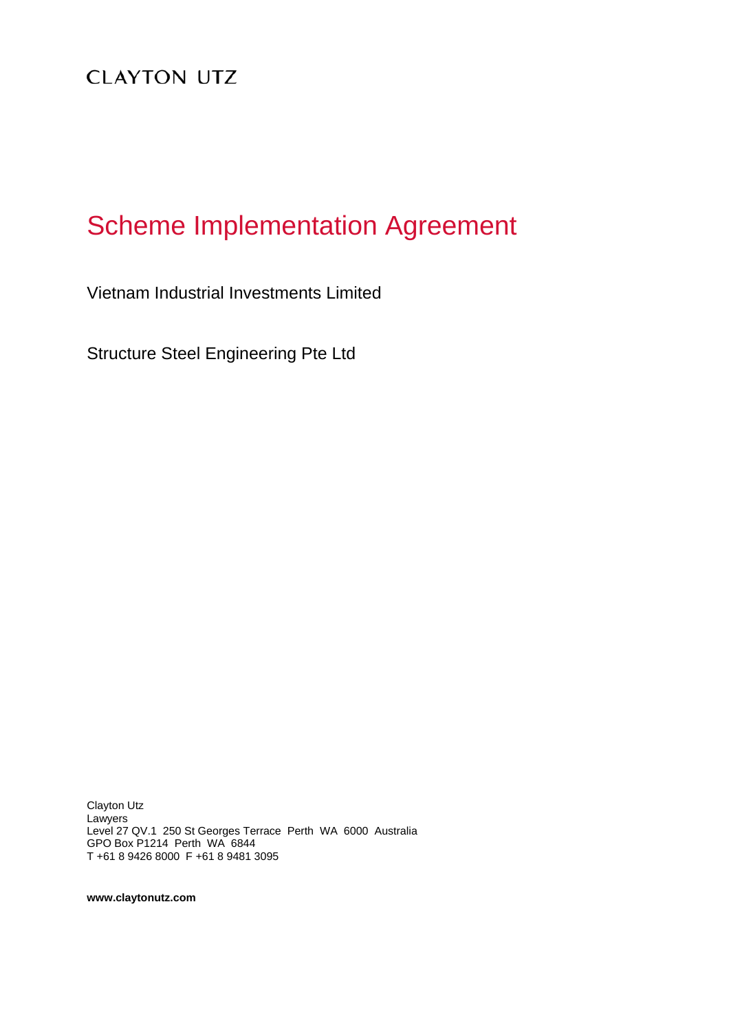**CLAYTON UTZ** 

# Scheme Implementation Agreement

Vietnam Industrial Investments Limited

Structure Steel Engineering Pte Ltd

Clayton Utz Lawyers Level 27 QV.1 250 St Georges Terrace Perth WA 6000 Australia GPO Box P1214 Perth WA 6844 T +61 8 9426 8000 F +61 8 9481 3095

**www.claytonutz.com**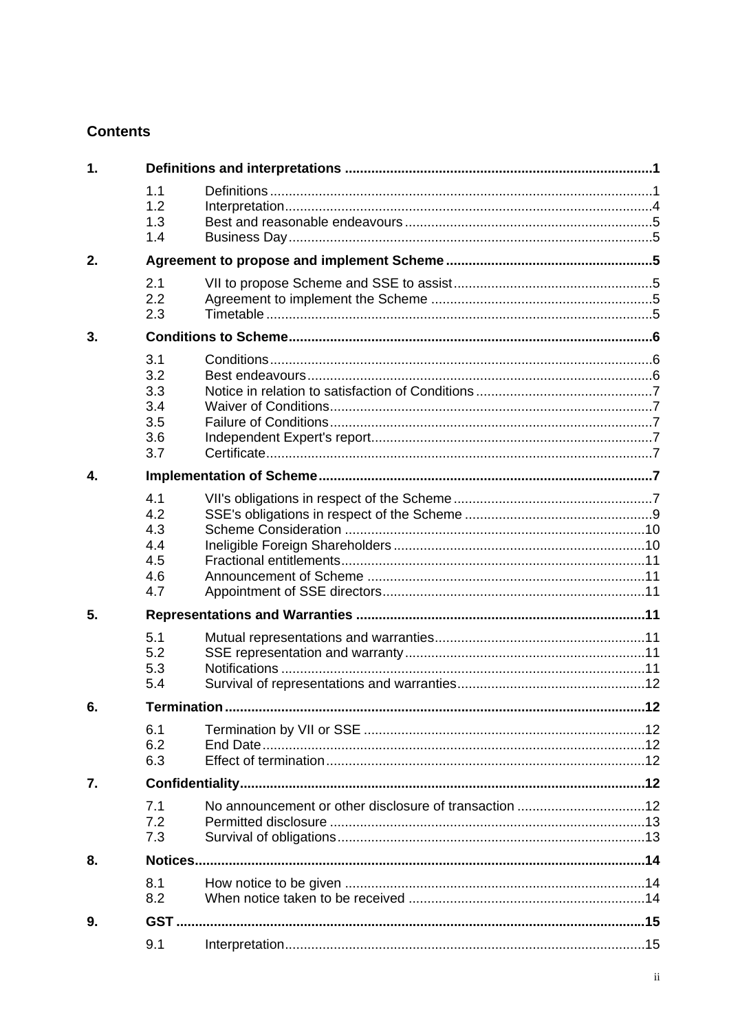## **Contents**

| 1. |                                               |                                                       |     |  |
|----|-----------------------------------------------|-------------------------------------------------------|-----|--|
|    | 1.1<br>1.2<br>1.3<br>1.4                      |                                                       |     |  |
| 2. |                                               |                                                       |     |  |
|    | 2.1<br>2.2<br>2.3                             |                                                       |     |  |
| 3. |                                               |                                                       |     |  |
|    | 3.1<br>3.2<br>3.3<br>3.4<br>3.5<br>3.6<br>3.7 |                                                       |     |  |
| 4. |                                               |                                                       |     |  |
|    | 4.1<br>4.2<br>4.3<br>4.4<br>4.5<br>4.6<br>4.7 |                                                       |     |  |
| 5. |                                               |                                                       |     |  |
|    | 5.1<br>5.2<br>5.3<br>5.4                      |                                                       |     |  |
| 6  | <b>Termination</b>                            |                                                       | .12 |  |
|    | 6.1<br>6.2<br>6.3                             |                                                       |     |  |
| 7. |                                               |                                                       |     |  |
|    | 7.1<br>7.2<br>7.3                             | No announcement or other disclosure of transaction 12 |     |  |
| 8. |                                               |                                                       |     |  |
|    | 8.1<br>8.2                                    |                                                       |     |  |
| 9. |                                               |                                                       |     |  |
|    | 9.1                                           |                                                       |     |  |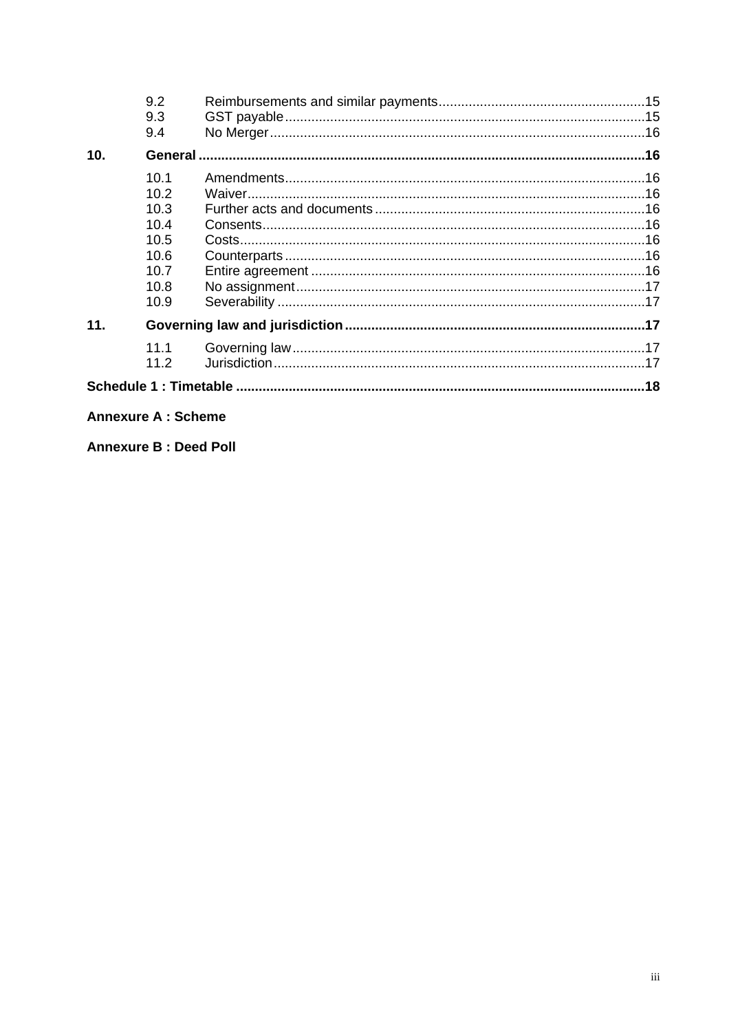|                 | 9.2  |  |  |
|-----------------|------|--|--|
|                 | 9.3  |  |  |
|                 | 9.4  |  |  |
| 10 <sub>1</sub> |      |  |  |
|                 | 10.1 |  |  |
|                 | 10.2 |  |  |
|                 | 10.3 |  |  |
|                 | 10.4 |  |  |
|                 | 10.5 |  |  |
|                 | 10.6 |  |  |
|                 | 10.7 |  |  |
|                 | 10.8 |  |  |
|                 | 10.9 |  |  |
| 11.             |      |  |  |
|                 | 11.1 |  |  |
|                 | 11.2 |  |  |
|                 |      |  |  |

## **Annexure A: Scheme**

**Annexure B: Deed Poll**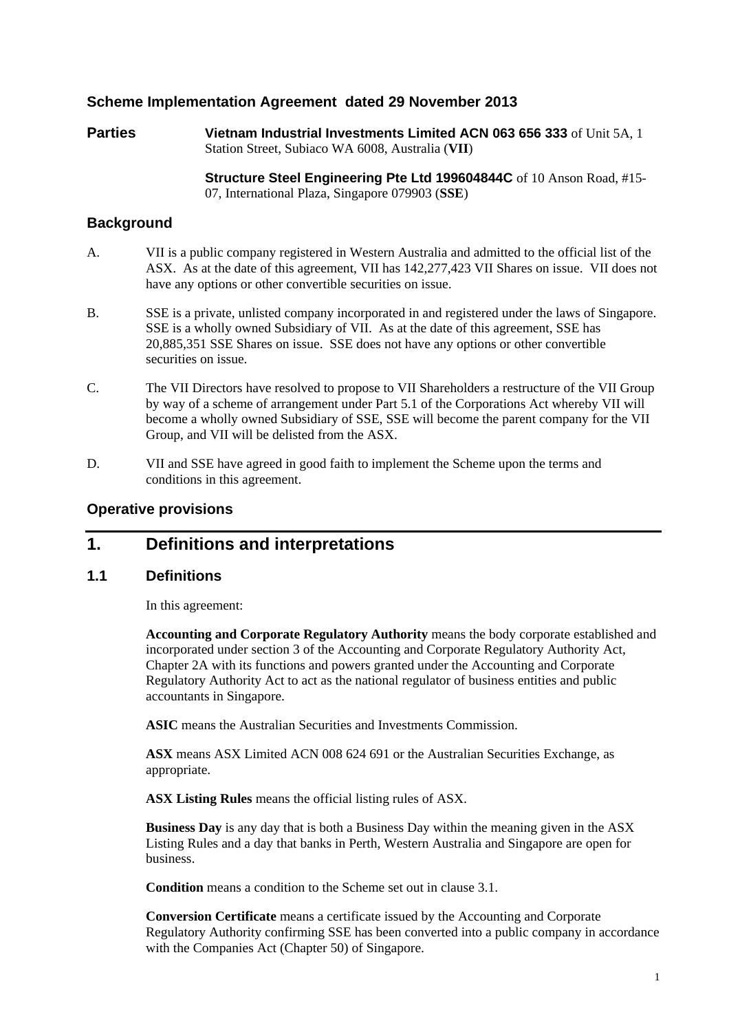## **Scheme Implementation Agreement dated 29 November 2013**

**Parties Vietnam Industrial Investments Limited ACN 063 656 333 of Unit 5A, 1** Station Street, Subiaco WA 6008, Australia (**VII**)

> **Structure Steel Engineering Pte Ltd 199604844C** of 10 Anson Road, #15- 07, International Plaza, Singapore 079903 (**SSE**)

## **Background**

- A. VII is a public company registered in Western Australia and admitted to the official list of the ASX. As at the date of this agreement, VII has 142,277,423 VII Shares on issue. VII does not have any options or other convertible securities on issue.
- B. SSE is a private, unlisted company incorporated in and registered under the laws of Singapore. SSE is a wholly owned Subsidiary of VII. As at the date of this agreement, SSE has 20,885,351 SSE Shares on issue. SSE does not have any options or other convertible securities on issue.
- C. The VII Directors have resolved to propose to VII Shareholders a restructure of the VII Group by way of a scheme of arrangement under Part 5.1 of the Corporations Act whereby VII will become a wholly owned Subsidiary of SSE, SSE will become the parent company for the VII Group, and VII will be delisted from the ASX.
- D. VII and SSE have agreed in good faith to implement the Scheme upon the terms and conditions in this agreement.

## **Operative provisions**

## **1. Definitions and interpretations**

#### **1.1 Definitions**

In this agreement:

**Accounting and Corporate Regulatory Authority** means the body corporate established and incorporated under section 3 of the Accounting and Corporate Regulatory Authority Act, Chapter 2A with its functions and powers granted under the Accounting and Corporate Regulatory Authority Act to act as the national regulator of business entities and public accountants in Singapore.

**ASIC** means the Australian Securities and Investments Commission.

**ASX** means ASX Limited ACN 008 624 691 or the Australian Securities Exchange, as appropriate.

**ASX Listing Rules** means the official listing rules of ASX.

**Business Day** is any day that is both a Business Day within the meaning given in the ASX Listing Rules and a day that banks in Perth, Western Australia and Singapore are open for business.

**Condition** means a condition to the Scheme set out in clause 3.1.

**Conversion Certificate** means a certificate issued by the Accounting and Corporate Regulatory Authority confirming SSE has been converted into a public company in accordance with the Companies Act (Chapter 50) of Singapore.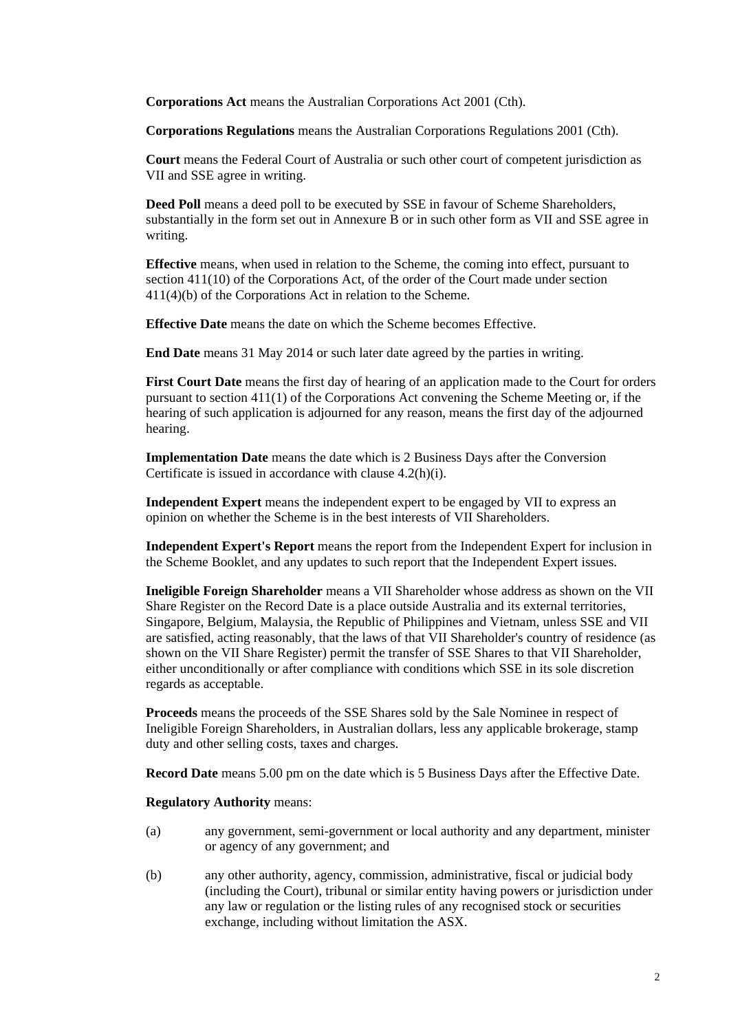**Corporations Act** means the Australian Corporations Act 2001 (Cth).

**Corporations Regulations** means the Australian Corporations Regulations 2001 (Cth).

**Court** means the Federal Court of Australia or such other court of competent jurisdiction as VII and SSE agree in writing.

**Deed Poll** means a deed poll to be executed by SSE in favour of Scheme Shareholders, substantially in the form set out in Annexure B or in such other form as VII and SSE agree in writing.

**Effective** means, when used in relation to the Scheme, the coming into effect, pursuant to section 411(10) of the Corporations Act, of the order of the Court made under section 411(4)(b) of the Corporations Act in relation to the Scheme.

**Effective Date** means the date on which the Scheme becomes Effective.

**End Date** means 31 May 2014 or such later date agreed by the parties in writing.

**First Court Date** means the first day of hearing of an application made to the Court for orders pursuant to section 411(1) of the Corporations Act convening the Scheme Meeting or, if the hearing of such application is adjourned for any reason, means the first day of the adjourned hearing.

**Implementation Date** means the date which is 2 Business Days after the Conversion Certificate is issued in accordance with clause 4.2(h)(i).

**Independent Expert** means the independent expert to be engaged by VII to express an opinion on whether the Scheme is in the best interests of VII Shareholders.

**Independent Expert's Report** means the report from the Independent Expert for inclusion in the Scheme Booklet, and any updates to such report that the Independent Expert issues.

**Ineligible Foreign Shareholder** means a VII Shareholder whose address as shown on the VII Share Register on the Record Date is a place outside Australia and its external territories, Singapore, Belgium, Malaysia, the Republic of Philippines and Vietnam, unless SSE and VII are satisfied, acting reasonably, that the laws of that VII Shareholder's country of residence (as shown on the VII Share Register) permit the transfer of SSE Shares to that VII Shareholder, either unconditionally or after compliance with conditions which SSE in its sole discretion regards as acceptable.

**Proceeds** means the proceeds of the SSE Shares sold by the Sale Nominee in respect of Ineligible Foreign Shareholders, in Australian dollars, less any applicable brokerage, stamp duty and other selling costs, taxes and charges.

**Record Date** means 5.00 pm on the date which is 5 Business Days after the Effective Date.

**Regulatory Authority** means:

- (a) any government, semi-government or local authority and any department, minister or agency of any government; and
- (b) any other authority, agency, commission, administrative, fiscal or judicial body (including the Court), tribunal or similar entity having powers or jurisdiction under any law or regulation or the listing rules of any recognised stock or securities exchange, including without limitation the ASX.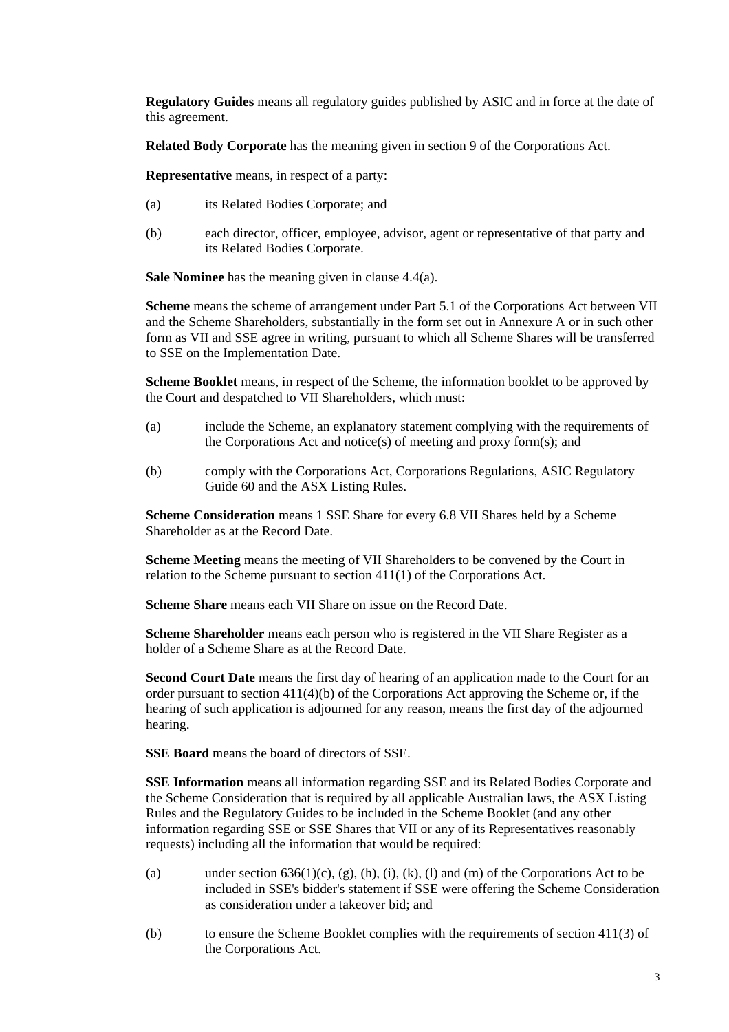**Regulatory Guides** means all regulatory guides published by ASIC and in force at the date of this agreement.

**Related Body Corporate** has the meaning given in section 9 of the Corporations Act.

**Representative** means, in respect of a party:

- (a) its Related Bodies Corporate; and
- (b) each director, officer, employee, advisor, agent or representative of that party and its Related Bodies Corporate.

**Sale Nominee** has the meaning given in clause 4.4(a).

**Scheme** means the scheme of arrangement under Part 5.1 of the Corporations Act between VII and the Scheme Shareholders, substantially in the form set out in Annexure A or in such other form as VII and SSE agree in writing, pursuant to which all Scheme Shares will be transferred to SSE on the Implementation Date.

**Scheme Booklet** means, in respect of the Scheme, the information booklet to be approved by the Court and despatched to VII Shareholders, which must:

- (a) include the Scheme, an explanatory statement complying with the requirements of the Corporations Act and notice(s) of meeting and proxy form(s); and
- (b) comply with the Corporations Act, Corporations Regulations, ASIC Regulatory Guide 60 and the ASX Listing Rules.

**Scheme Consideration** means 1 SSE Share for every 6.8 VII Shares held by a Scheme Shareholder as at the Record Date.

**Scheme Meeting** means the meeting of VII Shareholders to be convened by the Court in relation to the Scheme pursuant to section 411(1) of the Corporations Act.

**Scheme Share** means each VII Share on issue on the Record Date.

**Scheme Shareholder** means each person who is registered in the VII Share Register as a holder of a Scheme Share as at the Record Date.

**Second Court Date** means the first day of hearing of an application made to the Court for an order pursuant to section 411(4)(b) of the Corporations Act approving the Scheme or, if the hearing of such application is adjourned for any reason, means the first day of the adjourned hearing.

**SSE Board** means the board of directors of SSE.

**SSE Information** means all information regarding SSE and its Related Bodies Corporate and the Scheme Consideration that is required by all applicable Australian laws, the ASX Listing Rules and the Regulatory Guides to be included in the Scheme Booklet (and any other information regarding SSE or SSE Shares that VII or any of its Representatives reasonably requests) including all the information that would be required:

- (a) under section  $636(1)(c)$ ,  $(g)$ ,  $(h)$ ,  $(i)$ ,  $(k)$ ,  $(l)$  and  $(m)$  of the Corporations Act to be included in SSE's bidder's statement if SSE were offering the Scheme Consideration as consideration under a takeover bid; and
- (b) to ensure the Scheme Booklet complies with the requirements of section 411(3) of the Corporations Act.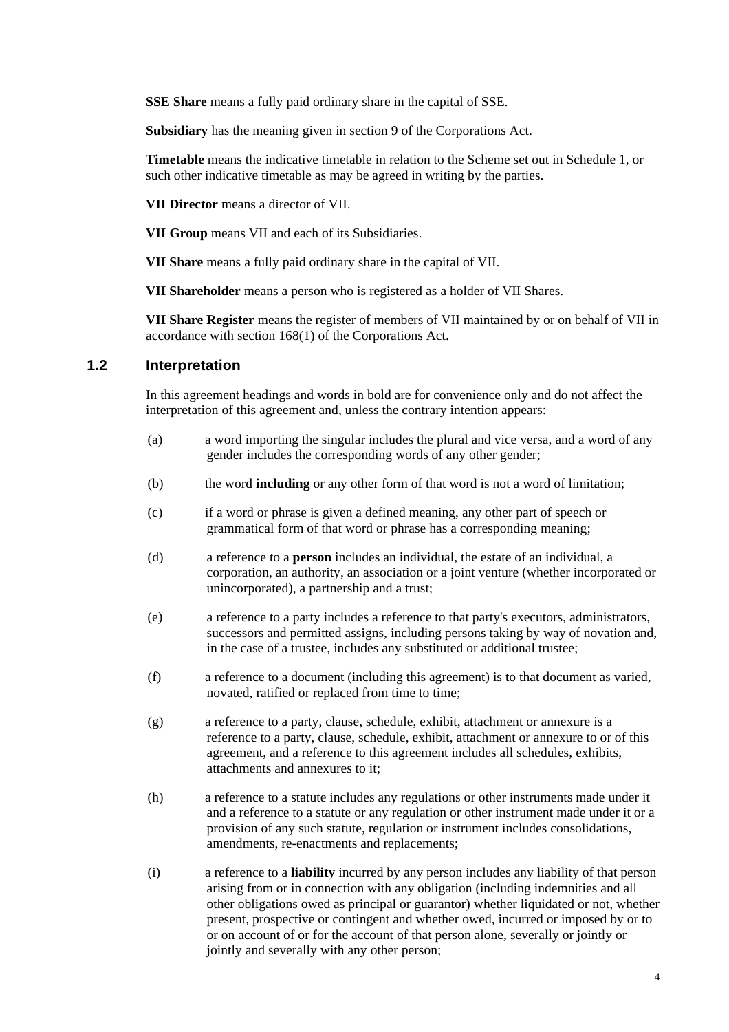**SSE Share** means a fully paid ordinary share in the capital of SSE.

**Subsidiary** has the meaning given in section 9 of the Corporations Act.

**Timetable** means the indicative timetable in relation to the Scheme set out in Schedule 1, or such other indicative timetable as may be agreed in writing by the parties.

**VII Director** means a director of VII.

**VII Group** means VII and each of its Subsidiaries.

**VII Share** means a fully paid ordinary share in the capital of VII.

**VII Shareholder** means a person who is registered as a holder of VII Shares.

**VII Share Register** means the register of members of VII maintained by or on behalf of VII in accordance with section 168(1) of the Corporations Act.

#### **1.2 Interpretation**

In this agreement headings and words in bold are for convenience only and do not affect the interpretation of this agreement and, unless the contrary intention appears:

- (a) a word importing the singular includes the plural and vice versa, and a word of any gender includes the corresponding words of any other gender;
- (b) the word **including** or any other form of that word is not a word of limitation;
- (c) if a word or phrase is given a defined meaning, any other part of speech or grammatical form of that word or phrase has a corresponding meaning;
- (d) a reference to a **person** includes an individual, the estate of an individual, a corporation, an authority, an association or a joint venture (whether incorporated or unincorporated), a partnership and a trust;
- (e) a reference to a party includes a reference to that party's executors, administrators, successors and permitted assigns, including persons taking by way of novation and, in the case of a trustee, includes any substituted or additional trustee;
- (f) a reference to a document (including this agreement) is to that document as varied, novated, ratified or replaced from time to time;
- (g) a reference to a party, clause, schedule, exhibit, attachment or annexure is a reference to a party, clause, schedule, exhibit, attachment or annexure to or of this agreement, and a reference to this agreement includes all schedules, exhibits, attachments and annexures to it;
- (h) a reference to a statute includes any regulations or other instruments made under it and a reference to a statute or any regulation or other instrument made under it or a provision of any such statute, regulation or instrument includes consolidations, amendments, re-enactments and replacements;
- (i) a reference to a **liability** incurred by any person includes any liability of that person arising from or in connection with any obligation (including indemnities and all other obligations owed as principal or guarantor) whether liquidated or not, whether present, prospective or contingent and whether owed, incurred or imposed by or to or on account of or for the account of that person alone, severally or jointly or jointly and severally with any other person;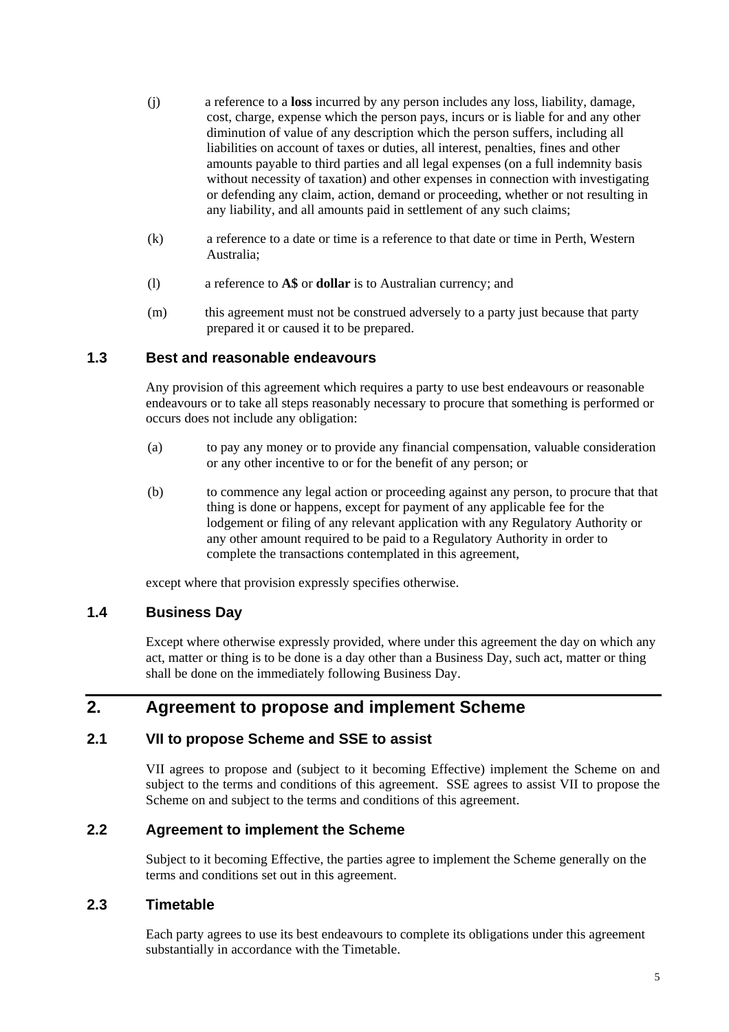- (j) a reference to a **loss** incurred by any person includes any loss, liability, damage, cost, charge, expense which the person pays, incurs or is liable for and any other diminution of value of any description which the person suffers, including all liabilities on account of taxes or duties, all interest, penalties, fines and other amounts payable to third parties and all legal expenses (on a full indemnity basis without necessity of taxation) and other expenses in connection with investigating or defending any claim, action, demand or proceeding, whether or not resulting in any liability, and all amounts paid in settlement of any such claims;
- (k) a reference to a date or time is a reference to that date or time in Perth, Western Australia;
- (l) a reference to **A\$** or **dollar** is to Australian currency; and
- (m) this agreement must not be construed adversely to a party just because that party prepared it or caused it to be prepared.

## **1.3 Best and reasonable endeavours**

Any provision of this agreement which requires a party to use best endeavours or reasonable endeavours or to take all steps reasonably necessary to procure that something is performed or occurs does not include any obligation:

- (a) to pay any money or to provide any financial compensation, valuable consideration or any other incentive to or for the benefit of any person; or
- (b) to commence any legal action or proceeding against any person, to procure that that thing is done or happens, except for payment of any applicable fee for the lodgement or filing of any relevant application with any Regulatory Authority or any other amount required to be paid to a Regulatory Authority in order to complete the transactions contemplated in this agreement,

except where that provision expressly specifies otherwise.

## **1.4 Business Day**

Except where otherwise expressly provided, where under this agreement the day on which any act, matter or thing is to be done is a day other than a Business Day, such act, matter or thing shall be done on the immediately following Business Day.

## **2. Agreement to propose and implement Scheme**

## **2.1 VII to propose Scheme and SSE to assist**

VII agrees to propose and (subject to it becoming Effective) implement the Scheme on and subject to the terms and conditions of this agreement. SSE agrees to assist VII to propose the Scheme on and subject to the terms and conditions of this agreement.

## **2.2 Agreement to implement the Scheme**

Subject to it becoming Effective, the parties agree to implement the Scheme generally on the terms and conditions set out in this agreement.

#### **2.3 Timetable**

Each party agrees to use its best endeavours to complete its obligations under this agreement substantially in accordance with the Timetable.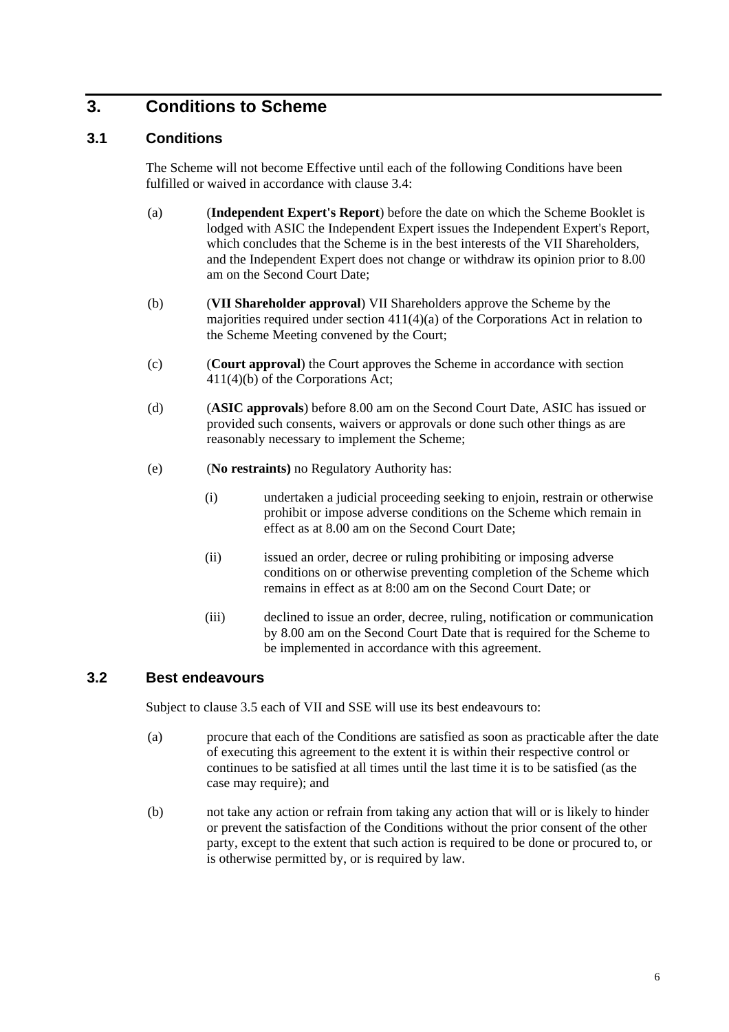## **3. Conditions to Scheme**

## **3.1 Conditions**

The Scheme will not become Effective until each of the following Conditions have been fulfilled or waived in accordance with clause 3.4:

- (a) (**Independent Expert's Report**) before the date on which the Scheme Booklet is lodged with ASIC the Independent Expert issues the Independent Expert's Report, which concludes that the Scheme is in the best interests of the VII Shareholders, and the Independent Expert does not change or withdraw its opinion prior to 8.00 am on the Second Court Date;
- (b) (**VII Shareholder approval**) VII Shareholders approve the Scheme by the majorities required under section 411(4)(a) of the Corporations Act in relation to the Scheme Meeting convened by the Court;
- (c) (**Court approval**) the Court approves the Scheme in accordance with section 411(4)(b) of the Corporations Act;
- (d) (**ASIC approvals**) before 8.00 am on the Second Court Date, ASIC has issued or provided such consents, waivers or approvals or done such other things as are reasonably necessary to implement the Scheme;
- (e) (**No restraints)** no Regulatory Authority has:
	- (i) undertaken a judicial proceeding seeking to enjoin, restrain or otherwise prohibit or impose adverse conditions on the Scheme which remain in effect as at 8.00 am on the Second Court Date;
	- (ii) issued an order, decree or ruling prohibiting or imposing adverse conditions on or otherwise preventing completion of the Scheme which remains in effect as at 8:00 am on the Second Court Date; or
	- (iii) declined to issue an order, decree, ruling, notification or communication by 8.00 am on the Second Court Date that is required for the Scheme to be implemented in accordance with this agreement.

## **3.2 Best endeavours**

Subject to clause 3.5 each of VII and SSE will use its best endeavours to:

- (a) procure that each of the Conditions are satisfied as soon as practicable after the date of executing this agreement to the extent it is within their respective control or continues to be satisfied at all times until the last time it is to be satisfied (as the case may require); and
- (b) not take any action or refrain from taking any action that will or is likely to hinder or prevent the satisfaction of the Conditions without the prior consent of the other party, except to the extent that such action is required to be done or procured to, or is otherwise permitted by, or is required by law.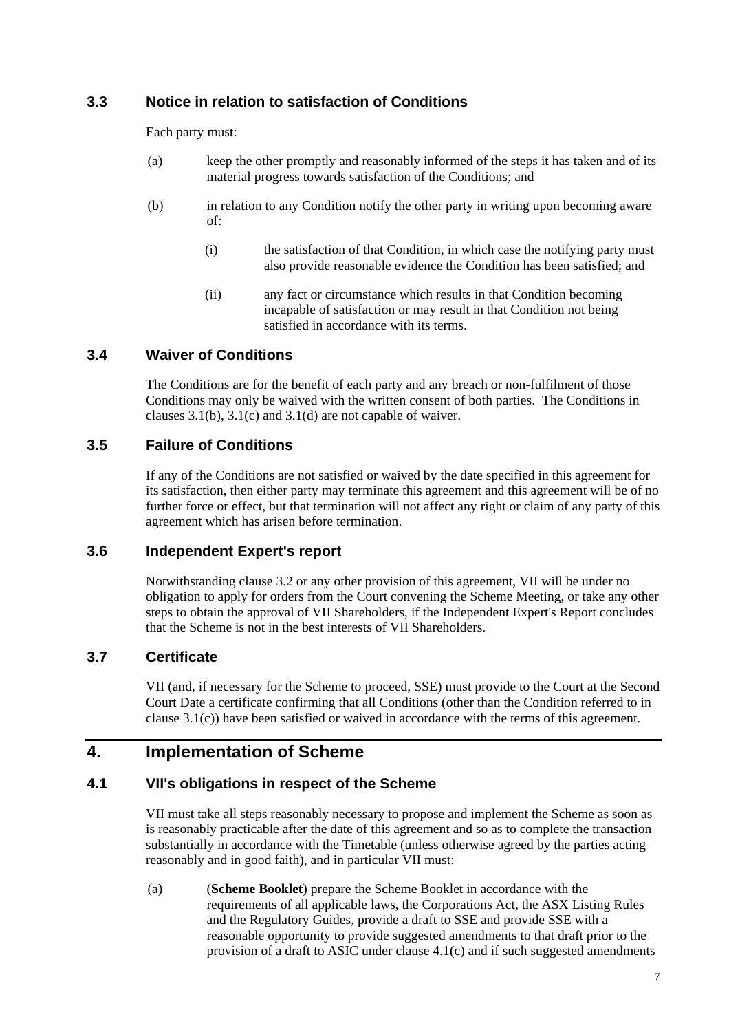## **3.3 Notice in relation to satisfaction of Conditions**

Each party must:

- (a) keep the other promptly and reasonably informed of the steps it has taken and of its material progress towards satisfaction of the Conditions; and
- (b) in relation to any Condition notify the other party in writing upon becoming aware of:
	- (i) the satisfaction of that Condition, in which case the notifying party must also provide reasonable evidence the Condition has been satisfied; and
	- (ii) any fact or circumstance which results in that Condition becoming incapable of satisfaction or may result in that Condition not being satisfied in accordance with its terms.

## **3.4 Waiver of Conditions**

The Conditions are for the benefit of each party and any breach or non-fulfilment of those Conditions may only be waived with the written consent of both parties. The Conditions in clauses 3.1(b), 3.1(c) and 3.1(d) are not capable of waiver.

## **3.5 Failure of Conditions**

If any of the Conditions are not satisfied or waived by the date specified in this agreement for its satisfaction, then either party may terminate this agreement and this agreement will be of no further force or effect, but that termination will not affect any right or claim of any party of this agreement which has arisen before termination.

#### **3.6 Independent Expert's report**

Notwithstanding clause 3.2 or any other provision of this agreement, VII will be under no obligation to apply for orders from the Court convening the Scheme Meeting, or take any other steps to obtain the approval of VII Shareholders, if the Independent Expert's Report concludes that the Scheme is not in the best interests of VII Shareholders.

## **3.7 Certificate**

VII (and, if necessary for the Scheme to proceed, SSE) must provide to the Court at the Second Court Date a certificate confirming that all Conditions (other than the Condition referred to in clause 3.1(c)) have been satisfied or waived in accordance with the terms of this agreement.

## **4. Implementation of Scheme**

## **4.1 VII's obligations in respect of the Scheme**

VII must take all steps reasonably necessary to propose and implement the Scheme as soon as is reasonably practicable after the date of this agreement and so as to complete the transaction substantially in accordance with the Timetable (unless otherwise agreed by the parties acting reasonably and in good faith), and in particular VII must:

(a) (**Scheme Booklet**) prepare the Scheme Booklet in accordance with the requirements of all applicable laws, the Corporations Act, the ASX Listing Rules and the Regulatory Guides, provide a draft to SSE and provide SSE with a reasonable opportunity to provide suggested amendments to that draft prior to the provision of a draft to ASIC under clause  $4.1(c)$  and if such suggested amendments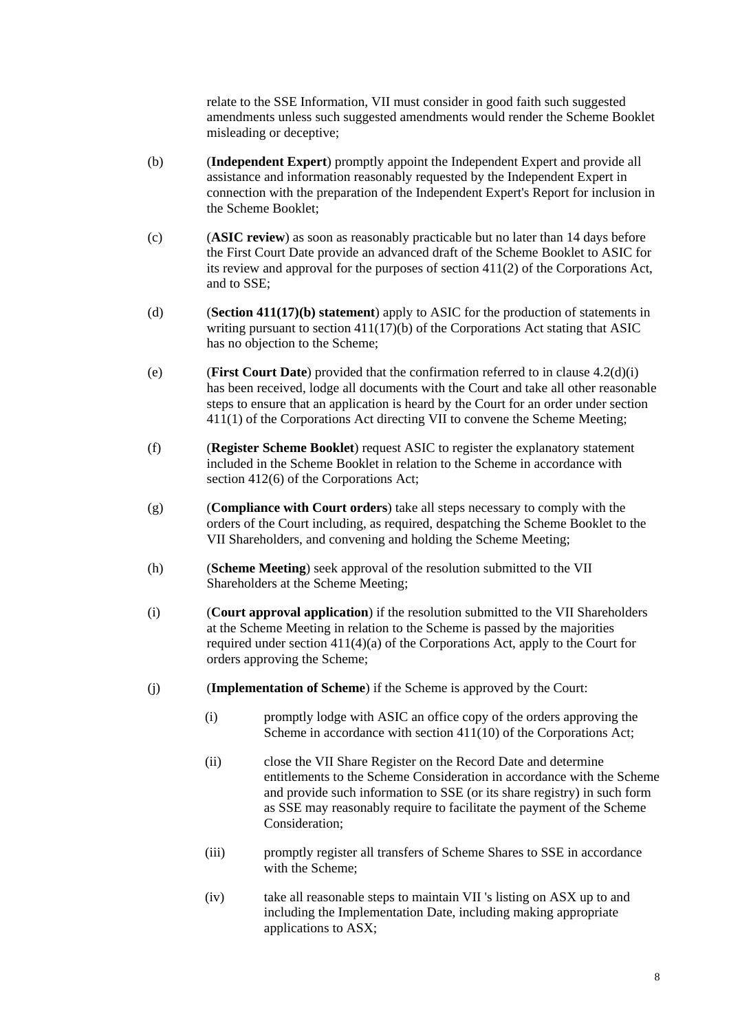relate to the SSE Information, VII must consider in good faith such suggested amendments unless such suggested amendments would render the Scheme Booklet misleading or deceptive;

- (b) (**Independent Expert**) promptly appoint the Independent Expert and provide all assistance and information reasonably requested by the Independent Expert in connection with the preparation of the Independent Expert's Report for inclusion in the Scheme Booklet;
- (c) (**ASIC review**) as soon as reasonably practicable but no later than 14 days before the First Court Date provide an advanced draft of the Scheme Booklet to ASIC for its review and approval for the purposes of section 411(2) of the Corporations Act, and to SSE;
- (d) (**Section 411(17)(b) statement**) apply to ASIC for the production of statements in writing pursuant to section 411(17)(b) of the Corporations Act stating that ASIC has no objection to the Scheme;
- (e) (**First Court Date**) provided that the confirmation referred to in clause 4.2(d)(i) has been received, lodge all documents with the Court and take all other reasonable steps to ensure that an application is heard by the Court for an order under section 411(1) of the Corporations Act directing VII to convene the Scheme Meeting;
- (f) (**Register Scheme Booklet**) request ASIC to register the explanatory statement included in the Scheme Booklet in relation to the Scheme in accordance with section 412(6) of the Corporations Act:
- (g) (**Compliance with Court orders**) take all steps necessary to comply with the orders of the Court including, as required, despatching the Scheme Booklet to the VII Shareholders, and convening and holding the Scheme Meeting;
- (h) (**Scheme Meeting**) seek approval of the resolution submitted to the VII Shareholders at the Scheme Meeting;
- (i) (**Court approval application**) if the resolution submitted to the VII Shareholders at the Scheme Meeting in relation to the Scheme is passed by the majorities required under section 411(4)(a) of the Corporations Act, apply to the Court for orders approving the Scheme;
- (j) (**Implementation of Scheme**) if the Scheme is approved by the Court:
	- (i) promptly lodge with ASIC an office copy of the orders approving the Scheme in accordance with section 411(10) of the Corporations Act;
	- (ii) close the VII Share Register on the Record Date and determine entitlements to the Scheme Consideration in accordance with the Scheme and provide such information to SSE (or its share registry) in such form as SSE may reasonably require to facilitate the payment of the Scheme Consideration;
	- (iii) promptly register all transfers of Scheme Shares to SSE in accordance with the Scheme:
	- (iv) take all reasonable steps to maintain VII 's listing on ASX up to and including the Implementation Date, including making appropriate applications to ASX;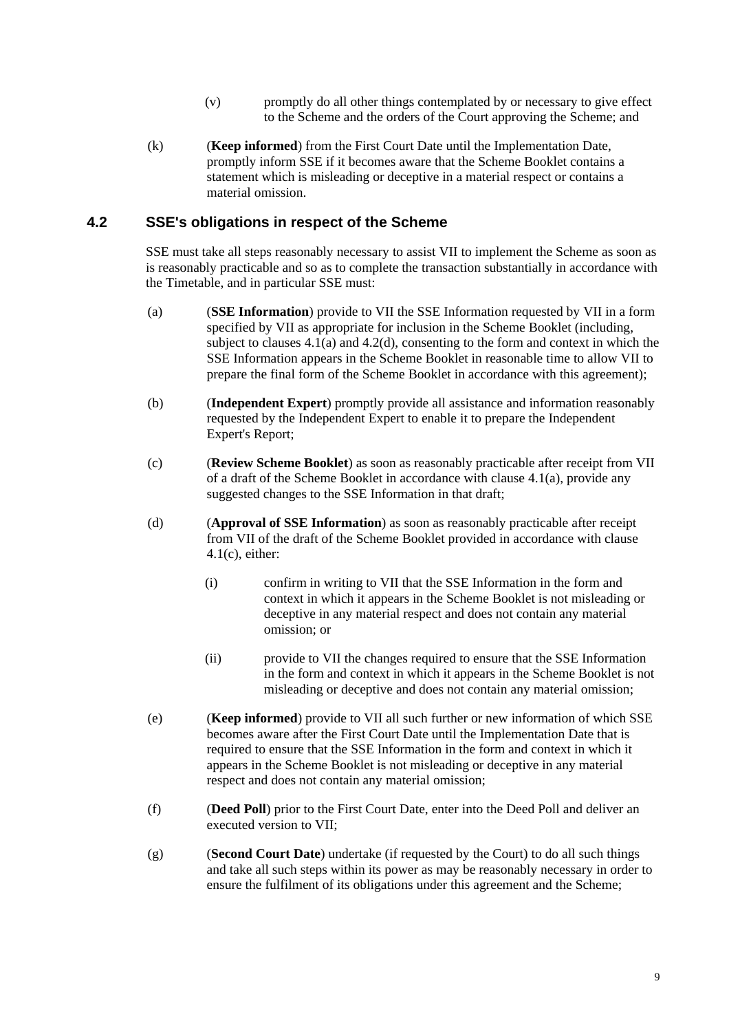- (v) promptly do all other things contemplated by or necessary to give effect to the Scheme and the orders of the Court approving the Scheme; and
- (k) (**Keep informed**) from the First Court Date until the Implementation Date, promptly inform SSE if it becomes aware that the Scheme Booklet contains a statement which is misleading or deceptive in a material respect or contains a material omission.

## **4.2 SSE's obligations in respect of the Scheme**

SSE must take all steps reasonably necessary to assist VII to implement the Scheme as soon as is reasonably practicable and so as to complete the transaction substantially in accordance with the Timetable, and in particular SSE must:

- (a) (**SSE Information**) provide to VII the SSE Information requested by VII in a form specified by VII as appropriate for inclusion in the Scheme Booklet (including, subject to clauses  $4.1(a)$  and  $4.2(d)$ , consenting to the form and context in which the SSE Information appears in the Scheme Booklet in reasonable time to allow VII to prepare the final form of the Scheme Booklet in accordance with this agreement);
- (b) (**Independent Expert**) promptly provide all assistance and information reasonably requested by the Independent Expert to enable it to prepare the Independent Expert's Report;
- (c) (**Review Scheme Booklet**) as soon as reasonably practicable after receipt from VII of a draft of the Scheme Booklet in accordance with clause 4.1(a), provide any suggested changes to the SSE Information in that draft;
- (d) (**Approval of SSE Information**) as soon as reasonably practicable after receipt from VII of the draft of the Scheme Booklet provided in accordance with clause 4.1(c), either:
	- (i) confirm in writing to VII that the SSE Information in the form and context in which it appears in the Scheme Booklet is not misleading or deceptive in any material respect and does not contain any material omission; or
	- (ii) provide to VII the changes required to ensure that the SSE Information in the form and context in which it appears in the Scheme Booklet is not misleading or deceptive and does not contain any material omission;
- (e) (**Keep informed**) provide to VII all such further or new information of which SSE becomes aware after the First Court Date until the Implementation Date that is required to ensure that the SSE Information in the form and context in which it appears in the Scheme Booklet is not misleading or deceptive in any material respect and does not contain any material omission;
- (f) (**Deed Poll**) prior to the First Court Date, enter into the Deed Poll and deliver an executed version to VII;
- (g) (**Second Court Date**) undertake (if requested by the Court) to do all such things and take all such steps within its power as may be reasonably necessary in order to ensure the fulfilment of its obligations under this agreement and the Scheme;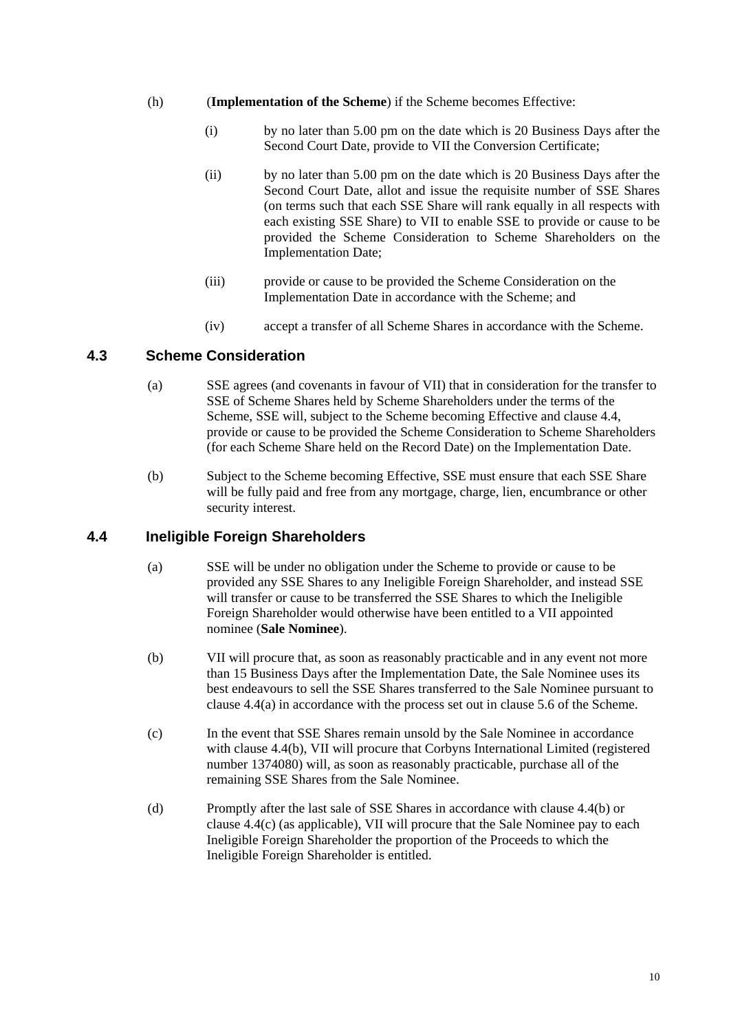- (h) (**Implementation of the Scheme**) if the Scheme becomes Effective:
	- (i) by no later than 5.00 pm on the date which is 20 Business Days after the Second Court Date, provide to VII the Conversion Certificate;
	- (ii) by no later than 5.00 pm on the date which is 20 Business Days after the Second Court Date, allot and issue the requisite number of SSE Shares (on terms such that each SSE Share will rank equally in all respects with each existing SSE Share) to VII to enable SSE to provide or cause to be provided the Scheme Consideration to Scheme Shareholders on the Implementation Date;
	- (iii) provide or cause to be provided the Scheme Consideration on the Implementation Date in accordance with the Scheme; and
	- (iv) accept a transfer of all Scheme Shares in accordance with the Scheme.

## **4.3 Scheme Consideration**

- (a) SSE agrees (and covenants in favour of VII) that in consideration for the transfer to SSE of Scheme Shares held by Scheme Shareholders under the terms of the Scheme, SSE will, subject to the Scheme becoming Effective and clause 4.4, provide or cause to be provided the Scheme Consideration to Scheme Shareholders (for each Scheme Share held on the Record Date) on the Implementation Date.
- (b) Subject to the Scheme becoming Effective, SSE must ensure that each SSE Share will be fully paid and free from any mortgage, charge, lien, encumbrance or other security interest.

## **4.4 Ineligible Foreign Shareholders**

- (a) SSE will be under no obligation under the Scheme to provide or cause to be provided any SSE Shares to any Ineligible Foreign Shareholder, and instead SSE will transfer or cause to be transferred the SSE Shares to which the Ineligible Foreign Shareholder would otherwise have been entitled to a VII appointed nominee (**Sale Nominee**).
- (b) VII will procure that, as soon as reasonably practicable and in any event not more than 15 Business Days after the Implementation Date, the Sale Nominee uses its best endeavours to sell the SSE Shares transferred to the Sale Nominee pursuant to clause 4.4(a) in accordance with the process set out in clause 5.6 of the Scheme.
- (c) In the event that SSE Shares remain unsold by the Sale Nominee in accordance with clause 4.4(b), VII will procure that Corbyns International Limited (registered number 1374080) will, as soon as reasonably practicable, purchase all of the remaining SSE Shares from the Sale Nominee.
- (d) Promptly after the last sale of SSE Shares in accordance with clause 4.4(b) or clause 4.4(c) (as applicable), VII will procure that the Sale Nominee pay to each Ineligible Foreign Shareholder the proportion of the Proceeds to which the Ineligible Foreign Shareholder is entitled.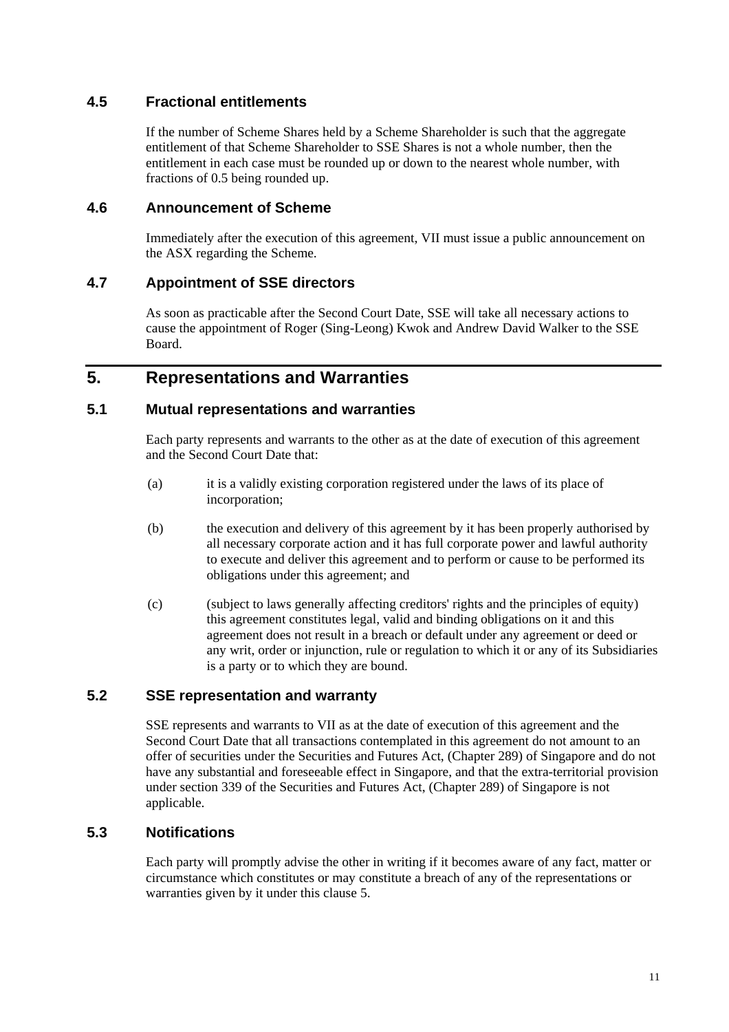## **4.5 Fractional entitlements**

If the number of Scheme Shares held by a Scheme Shareholder is such that the aggregate entitlement of that Scheme Shareholder to SSE Shares is not a whole number, then the entitlement in each case must be rounded up or down to the nearest whole number, with fractions of 0.5 being rounded up.

## **4.6 Announcement of Scheme**

Immediately after the execution of this agreement, VII must issue a public announcement on the ASX regarding the Scheme.

## **4.7 Appointment of SSE directors**

As soon as practicable after the Second Court Date, SSE will take all necessary actions to cause the appointment of Roger (Sing-Leong) Kwok and Andrew David Walker to the SSE Board.

## **5. Representations and Warranties**

## **5.1 Mutual representations and warranties**

Each party represents and warrants to the other as at the date of execution of this agreement and the Second Court Date that:

- (a) it is a validly existing corporation registered under the laws of its place of incorporation;
- (b) the execution and delivery of this agreement by it has been properly authorised by all necessary corporate action and it has full corporate power and lawful authority to execute and deliver this agreement and to perform or cause to be performed its obligations under this agreement; and
- (c) (subject to laws generally affecting creditors' rights and the principles of equity) this agreement constitutes legal, valid and binding obligations on it and this agreement does not result in a breach or default under any agreement or deed or any writ, order or injunction, rule or regulation to which it or any of its Subsidiaries is a party or to which they are bound.

## **5.2 SSE representation and warranty**

SSE represents and warrants to VII as at the date of execution of this agreement and the Second Court Date that all transactions contemplated in this agreement do not amount to an offer of securities under the Securities and Futures Act, (Chapter 289) of Singapore and do not have any substantial and foreseeable effect in Singapore, and that the extra-territorial provision under section 339 of the Securities and Futures Act, (Chapter 289) of Singapore is not applicable.

## **5.3 Notifications**

Each party will promptly advise the other in writing if it becomes aware of any fact, matter or circumstance which constitutes or may constitute a breach of any of the representations or warranties given by it under this clause 5.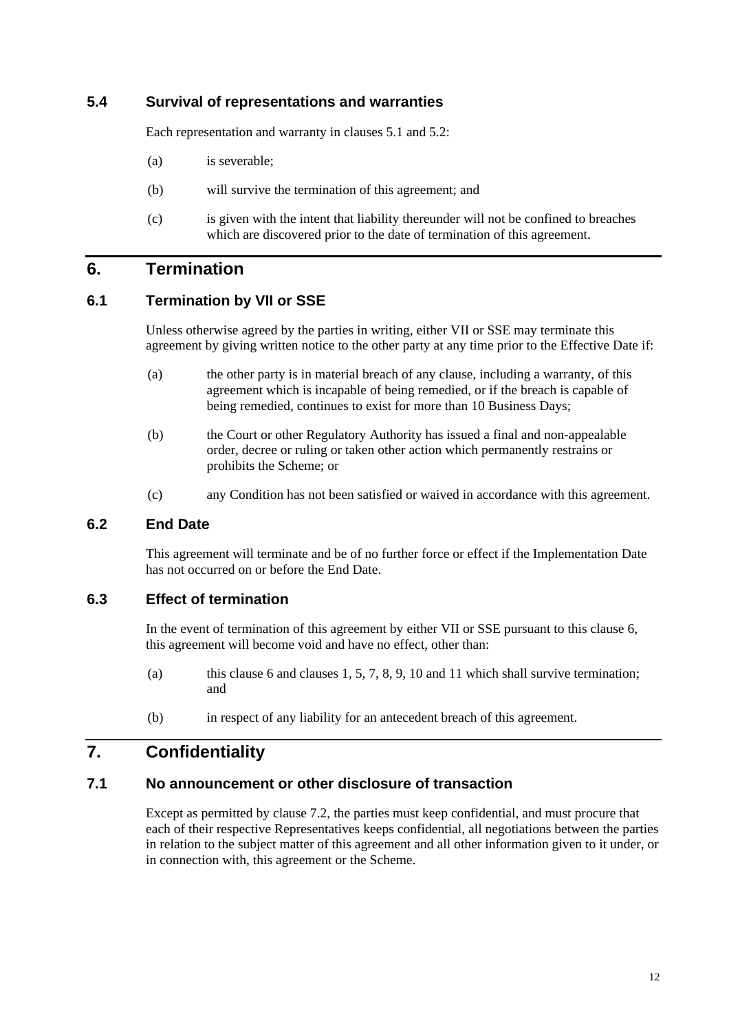## **5.4 Survival of representations and warranties**

Each representation and warranty in clauses 5.1 and 5.2:

- (a) is severable;
- (b) will survive the termination of this agreement; and
- (c) is given with the intent that liability thereunder will not be confined to breaches which are discovered prior to the date of termination of this agreement.

## **6. Termination**

## **6.1 Termination by VII or SSE**

Unless otherwise agreed by the parties in writing, either VII or SSE may terminate this agreement by giving written notice to the other party at any time prior to the Effective Date if:

- (a) the other party is in material breach of any clause, including a warranty, of this agreement which is incapable of being remedied, or if the breach is capable of being remedied, continues to exist for more than 10 Business Days;
- (b) the Court or other Regulatory Authority has issued a final and non-appealable order, decree or ruling or taken other action which permanently restrains or prohibits the Scheme; or
- (c) any Condition has not been satisfied or waived in accordance with this agreement.

## **6.2 End Date**

This agreement will terminate and be of no further force or effect if the Implementation Date has not occurred on or before the End Date.

## **6.3 Effect of termination**

In the event of termination of this agreement by either VII or SSE pursuant to this clause 6, this agreement will become void and have no effect, other than:

- (a) this clause 6 and clauses  $1, 5, 7, 8, 9, 10$  and  $11$  which shall survive termination; and
- (b) in respect of any liability for an antecedent breach of this agreement.

## **7. Confidentiality**

## **7.1 No announcement or other disclosure of transaction**

Except as permitted by clause 7.2, the parties must keep confidential, and must procure that each of their respective Representatives keeps confidential, all negotiations between the parties in relation to the subject matter of this agreement and all other information given to it under, or in connection with, this agreement or the Scheme.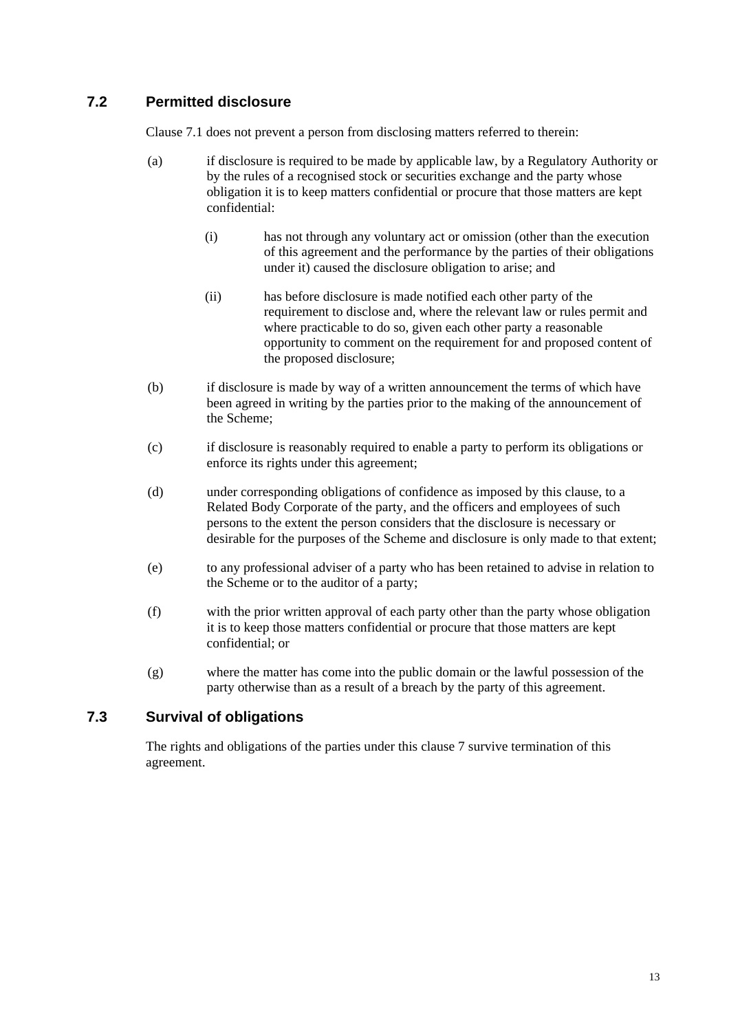## **7.2 Permitted disclosure**

Clause 7.1 does not prevent a person from disclosing matters referred to therein:

- (a) if disclosure is required to be made by applicable law, by a Regulatory Authority or by the rules of a recognised stock or securities exchange and the party whose obligation it is to keep matters confidential or procure that those matters are kept confidential:
	- (i) has not through any voluntary act or omission (other than the execution of this agreement and the performance by the parties of their obligations under it) caused the disclosure obligation to arise; and
	- (ii) has before disclosure is made notified each other party of the requirement to disclose and, where the relevant law or rules permit and where practicable to do so, given each other party a reasonable opportunity to comment on the requirement for and proposed content of the proposed disclosure;
- (b) if disclosure is made by way of a written announcement the terms of which have been agreed in writing by the parties prior to the making of the announcement of the Scheme;
- (c) if disclosure is reasonably required to enable a party to perform its obligations or enforce its rights under this agreement;
- (d) under corresponding obligations of confidence as imposed by this clause, to a Related Body Corporate of the party, and the officers and employees of such persons to the extent the person considers that the disclosure is necessary or desirable for the purposes of the Scheme and disclosure is only made to that extent;
- (e) to any professional adviser of a party who has been retained to advise in relation to the Scheme or to the auditor of a party;
- (f) with the prior written approval of each party other than the party whose obligation it is to keep those matters confidential or procure that those matters are kept confidential; or
- (g) where the matter has come into the public domain or the lawful possession of the party otherwise than as a result of a breach by the party of this agreement.

## **7.3 Survival of obligations**

The rights and obligations of the parties under this clause 7 survive termination of this agreement.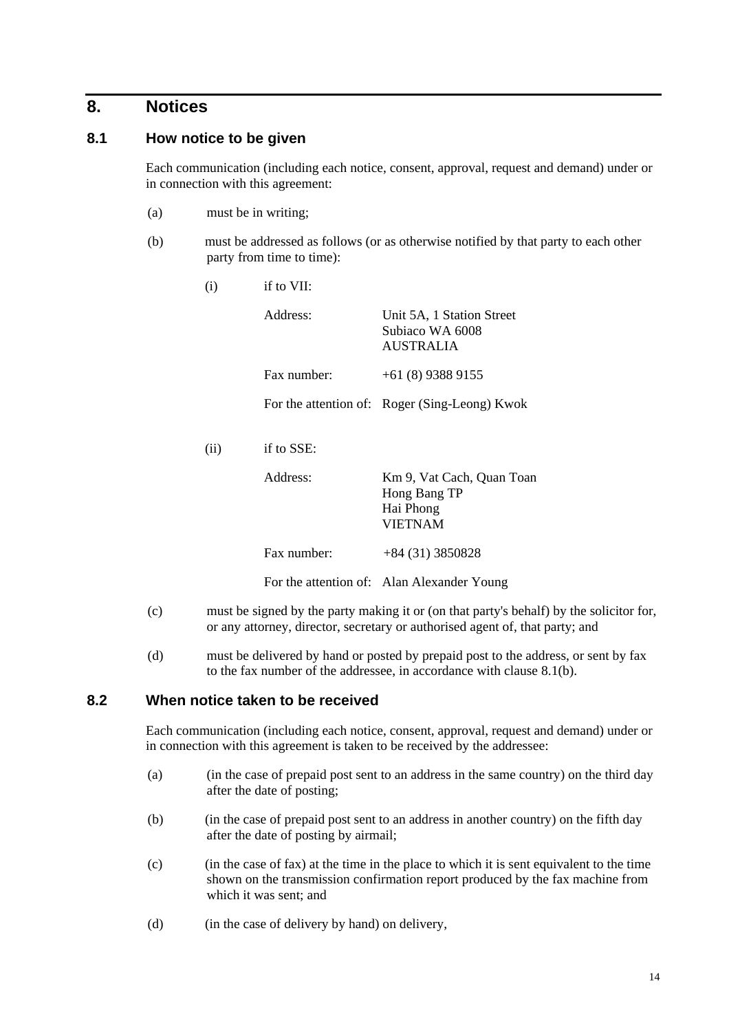## **8. Notices**

## **8.1 How notice to be given**

Each communication (including each notice, consent, approval, request and demand) under or in connection with this agreement:

- (a) must be in writing;
- (b) must be addressed as follows (or as otherwise notified by that party to each other party from time to time):

| (i)  | if to VII:  |                                                                          |  |
|------|-------------|--------------------------------------------------------------------------|--|
|      | Address:    | Unit 5A, 1 Station Street<br>Subiaco WA 6008<br>AUSTRALIA                |  |
|      | Fax number: | $+61(8)$ 9388 9155                                                       |  |
|      |             | For the attention of: Roger (Sing-Leong) Kwok                            |  |
| (ii) | if to SSE:  |                                                                          |  |
|      | Address:    | Km 9, Vat Cach, Quan Toan<br>Hong Bang TP<br>Hai Phong<br><b>VIETNAM</b> |  |
|      | Fax number: | $+84(31)3850828$                                                         |  |
|      |             | For the attention of: Alan Alexander Young                               |  |
|      |             |                                                                          |  |

- (c) must be signed by the party making it or (on that party's behalf) by the solicitor for, or any attorney, director, secretary or authorised agent of, that party; and
- (d) must be delivered by hand or posted by prepaid post to the address, or sent by fax to the fax number of the addressee, in accordance with clause 8.1(b).

#### **8.2 When notice taken to be received**

Each communication (including each notice, consent, approval, request and demand) under or in connection with this agreement is taken to be received by the addressee:

- (a) (in the case of prepaid post sent to an address in the same country) on the third day after the date of posting;
- (b) (in the case of prepaid post sent to an address in another country) on the fifth day after the date of posting by airmail;
- (c) (in the case of fax) at the time in the place to which it is sent equivalent to the time shown on the transmission confirmation report produced by the fax machine from which it was sent; and
- (d) (in the case of delivery by hand) on delivery,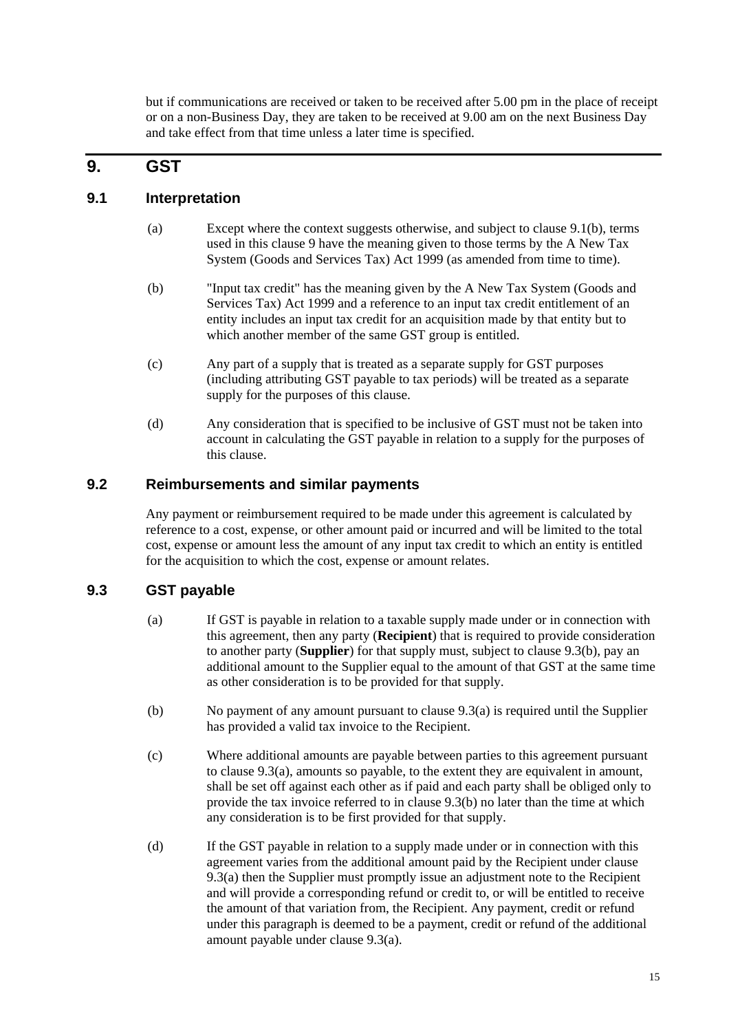but if communications are received or taken to be received after 5.00 pm in the place of receipt or on a non-Business Day, they are taken to be received at 9.00 am on the next Business Day and take effect from that time unless a later time is specified.

## **9. GST**

## **9.1 Interpretation**

- (a) Except where the context suggests otherwise, and subject to clause 9.1(b), terms used in this clause 9 have the meaning given to those terms by the A New Tax System (Goods and Services Tax) Act 1999 (as amended from time to time).
- (b) "Input tax credit" has the meaning given by the A New Tax System (Goods and Services Tax) Act 1999 and a reference to an input tax credit entitlement of an entity includes an input tax credit for an acquisition made by that entity but to which another member of the same GST group is entitled.
- (c) Any part of a supply that is treated as a separate supply for GST purposes (including attributing GST payable to tax periods) will be treated as a separate supply for the purposes of this clause.
- (d) Any consideration that is specified to be inclusive of GST must not be taken into account in calculating the GST payable in relation to a supply for the purposes of this clause.

## **9.2 Reimbursements and similar payments**

Any payment or reimbursement required to be made under this agreement is calculated by reference to a cost, expense, or other amount paid or incurred and will be limited to the total cost, expense or amount less the amount of any input tax credit to which an entity is entitled for the acquisition to which the cost, expense or amount relates.

## **9.3 GST payable**

- (a) If GST is payable in relation to a taxable supply made under or in connection with this agreement, then any party (**Recipient**) that is required to provide consideration to another party (**Supplier**) for that supply must, subject to clause 9.3(b), pay an additional amount to the Supplier equal to the amount of that GST at the same time as other consideration is to be provided for that supply.
- (b) No payment of any amount pursuant to clause 9.3(a) is required until the Supplier has provided a valid tax invoice to the Recipient.
- (c) Where additional amounts are payable between parties to this agreement pursuant to clause 9.3(a), amounts so payable, to the extent they are equivalent in amount, shall be set off against each other as if paid and each party shall be obliged only to provide the tax invoice referred to in clause 9.3(b) no later than the time at which any consideration is to be first provided for that supply.
- (d) If the GST payable in relation to a supply made under or in connection with this agreement varies from the additional amount paid by the Recipient under clause 9.3(a) then the Supplier must promptly issue an adjustment note to the Recipient and will provide a corresponding refund or credit to, or will be entitled to receive the amount of that variation from, the Recipient. Any payment, credit or refund under this paragraph is deemed to be a payment, credit or refund of the additional amount payable under clause 9.3(a).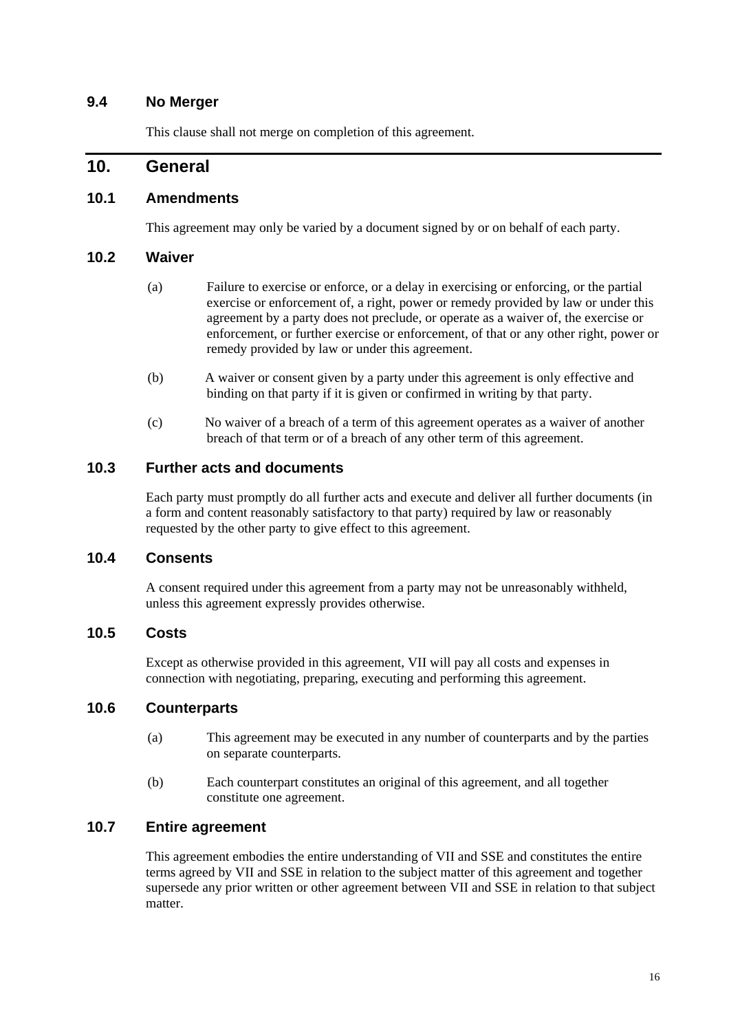## **9.4 No Merger**

This clause shall not merge on completion of this agreement.

## **10. General**

## **10.1 Amendments**

This agreement may only be varied by a document signed by or on behalf of each party.

### **10.2 Waiver**

- (a) Failure to exercise or enforce, or a delay in exercising or enforcing, or the partial exercise or enforcement of, a right, power or remedy provided by law or under this agreement by a party does not preclude, or operate as a waiver of, the exercise or enforcement, or further exercise or enforcement, of that or any other right, power or remedy provided by law or under this agreement.
- (b) A waiver or consent given by a party under this agreement is only effective and binding on that party if it is given or confirmed in writing by that party.
- (c) No waiver of a breach of a term of this agreement operates as a waiver of another breach of that term or of a breach of any other term of this agreement.

## **10.3 Further acts and documents**

Each party must promptly do all further acts and execute and deliver all further documents (in a form and content reasonably satisfactory to that party) required by law or reasonably requested by the other party to give effect to this agreement.

## **10.4 Consents**

A consent required under this agreement from a party may not be unreasonably withheld, unless this agreement expressly provides otherwise.

## **10.5 Costs**

Except as otherwise provided in this agreement, VII will pay all costs and expenses in connection with negotiating, preparing, executing and performing this agreement.

#### **10.6 Counterparts**

- (a) This agreement may be executed in any number of counterparts and by the parties on separate counterparts.
- (b) Each counterpart constitutes an original of this agreement, and all together constitute one agreement.

## **10.7 Entire agreement**

This agreement embodies the entire understanding of VII and SSE and constitutes the entire terms agreed by VII and SSE in relation to the subject matter of this agreement and together supersede any prior written or other agreement between VII and SSE in relation to that subject matter.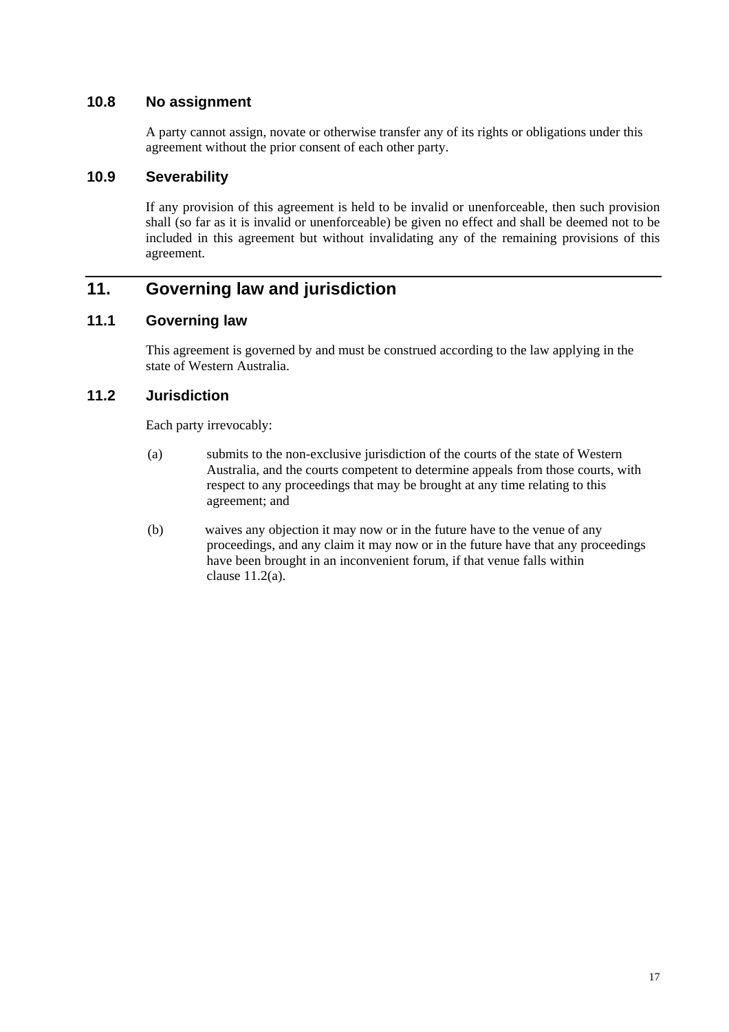## **10.8 No assignment**

A party cannot assign, novate or otherwise transfer any of its rights or obligations under this agreement without the prior consent of each other party.

#### **10.9 Severability**

If any provision of this agreement is held to be invalid or unenforceable, then such provision shall (so far as it is invalid or unenforceable) be given no effect and shall be deemed not to be included in this agreement but without invalidating any of the remaining provisions of this agreement.

# **11. Governing law and jurisdiction**

## **11.1 Governing law**

This agreement is governed by and must be construed according to the law applying in the state of Western Australia.

## **11.2 Jurisdiction**

Each party irrevocably:

- (a) submits to the non-exclusive jurisdiction of the courts of the state of Western Australia, and the courts competent to determine appeals from those courts, with respect to any proceedings that may be brought at any time relating to this agreement; and
- (b) waives any objection it may now or in the future have to the venue of any proceedings, and any claim it may now or in the future have that any proceedings have been brought in an inconvenient forum, if that venue falls within clause 11.2(a).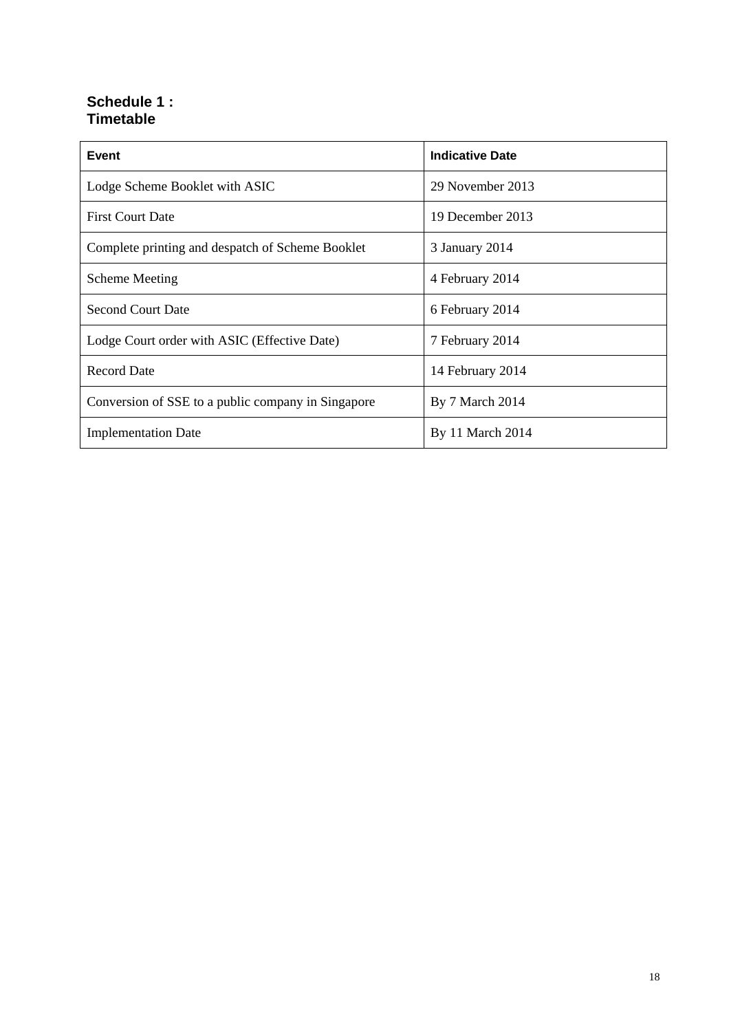## **Schedule 1 : Timetable**

| Event                                              | <b>Indicative Date</b> |
|----------------------------------------------------|------------------------|
| Lodge Scheme Booklet with ASIC                     | 29 November 2013       |
| <b>First Court Date</b>                            | 19 December 2013       |
| Complete printing and despatch of Scheme Booklet   | 3 January 2014         |
| <b>Scheme Meeting</b>                              | 4 February 2014        |
| <b>Second Court Date</b>                           | 6 February 2014        |
| Lodge Court order with ASIC (Effective Date)       | 7 February 2014        |
| <b>Record Date</b>                                 | 14 February 2014       |
| Conversion of SSE to a public company in Singapore | By 7 March 2014        |
| <b>Implementation Date</b>                         | By 11 March 2014       |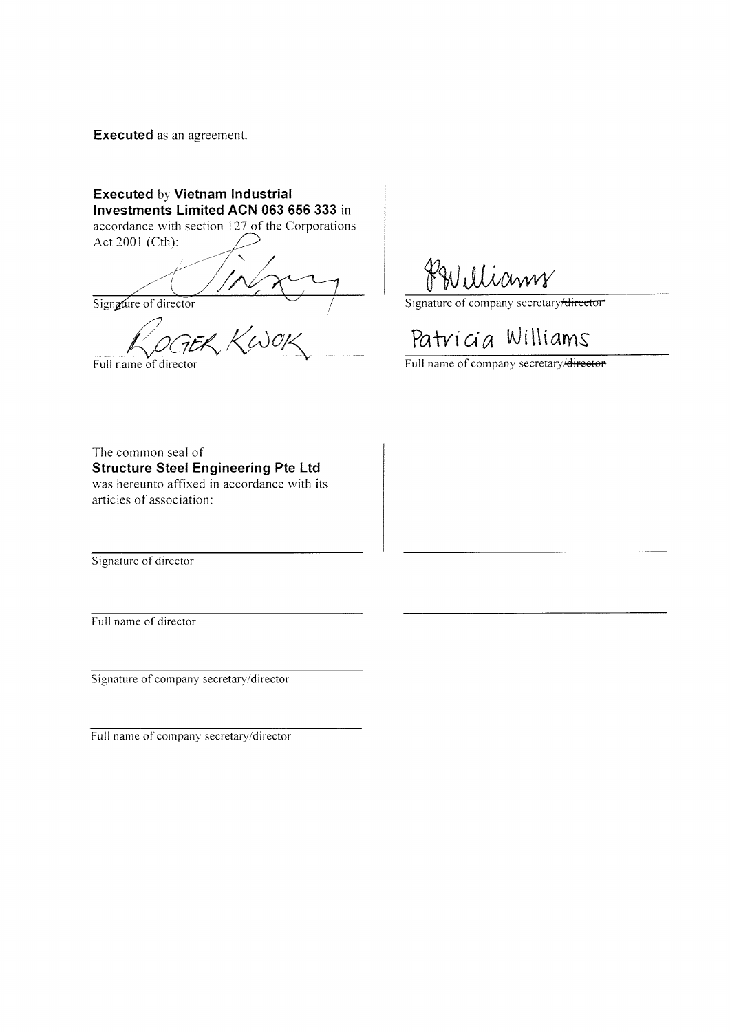**Executed** as an agreement.

**Executed by Vietnam Industrial** Investments Limited ACN 063 656 333 in accordance with section 127 of the Corporations Act 2001 (Cth):

Signature of director

Full name of director

Signature of company secretary director

# Patricia Williams

Full name of company secretary/director

The common seal of **Structure Steel Engineering Pte Ltd** was hereunto affixed in accordance with its articles of association:

Signature of director

Full name of director

Signature of company secretary/director

Full name of company secretary/director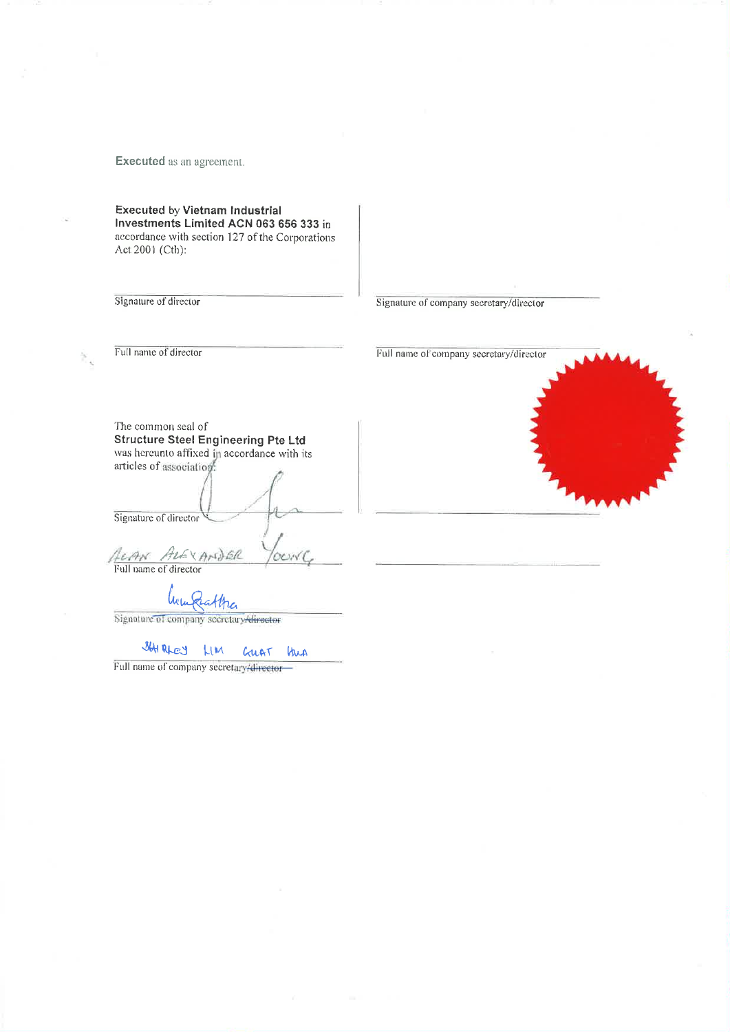**Executed** as an agreement.

**Executed by Vietnam Industrial** Investments Limited ACN 063 656 333 in accordance with section 127 of the Corporations Act 2001 (Cth):

Signature of director

Signature of company secretary/director

Full name of director

Full name of company secretary/director

The common seal of **Structure Steel Engineering Pte Ltd** was hereunto affixed in accordance with its articles of association. Signature of director ALAN ALEXANDER Rattra lwi

Signature of company secretary director

> SHIRLEY LIM GUAT kus

Full name of company secretary/director

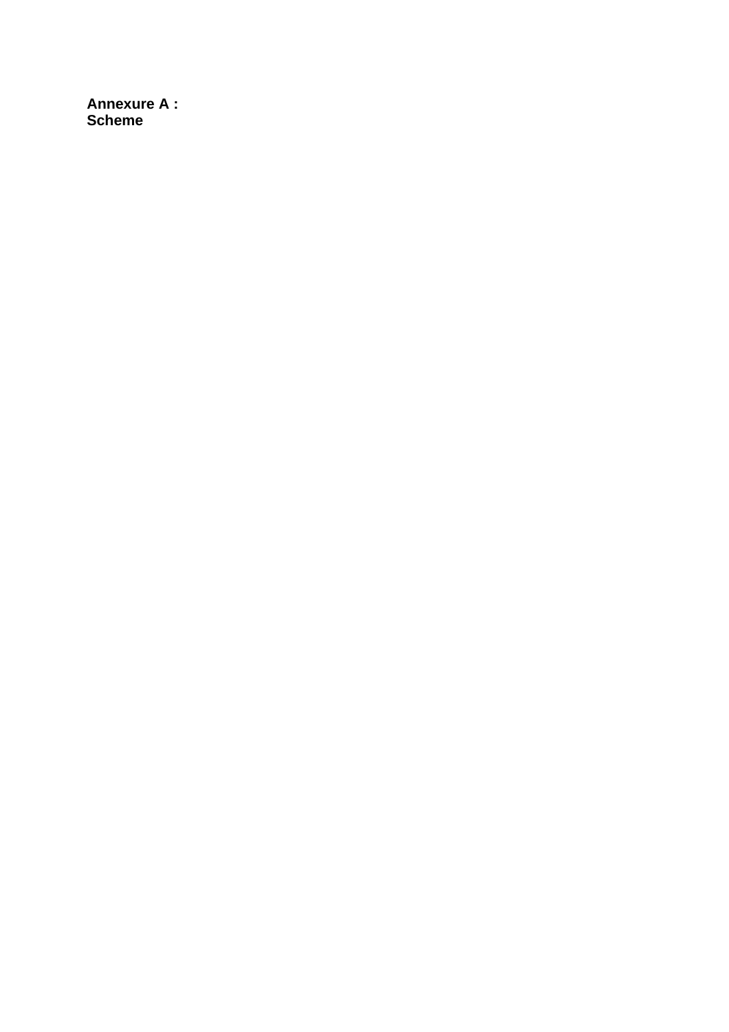**Annexure A: Scheme**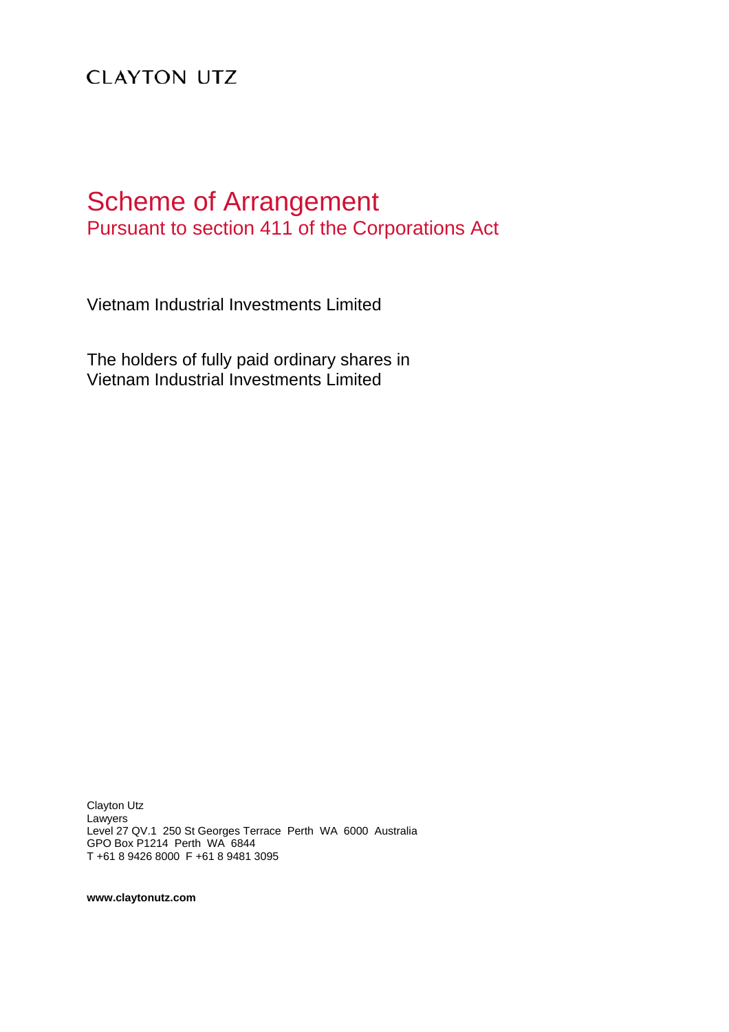# **CLAYTON UTZ**

# Scheme of Arrangement Pursuant to section 411 of the Corporations Act

Vietnam Industrial Investments Limited

The holders of fully paid ordinary shares in Vietnam Industrial Investments Limited

Clayton Utz Lawyers Level 27 QV.1 250 St Georges Terrace Perth WA 6000 Australia GPO Box P1214 Perth WA 6844 T +61 8 9426 8000 F +61 8 9481 3095

**www.claytonutz.com**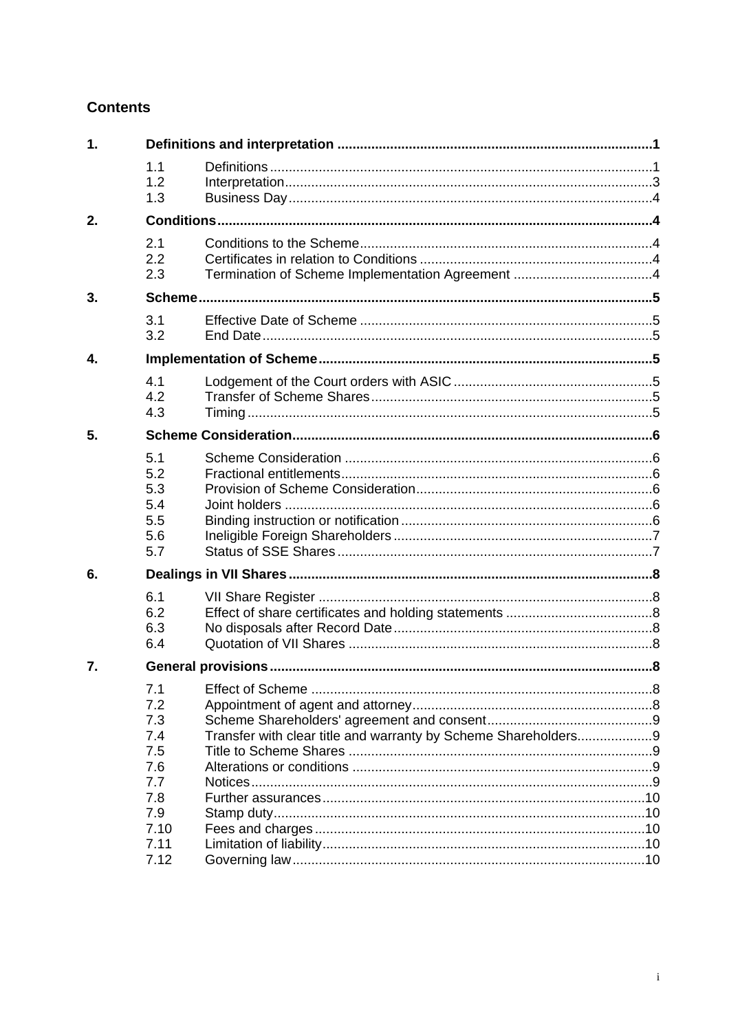# **Contents**

| 1. |                                                                                     |                                                                |  |
|----|-------------------------------------------------------------------------------------|----------------------------------------------------------------|--|
|    | 1.1<br>1.2<br>1.3                                                                   |                                                                |  |
| 2. |                                                                                     |                                                                |  |
|    | 2.1<br>2.2<br>2.3                                                                   |                                                                |  |
| 3. |                                                                                     |                                                                |  |
|    | 3.1<br>3.2                                                                          |                                                                |  |
| 4. |                                                                                     |                                                                |  |
|    | 4.1<br>4.2<br>4.3                                                                   |                                                                |  |
| 5. |                                                                                     |                                                                |  |
|    | 5.1<br>5.2<br>5.3<br>5.4<br>5.5<br>5.6<br>5.7                                       |                                                                |  |
| 6. |                                                                                     |                                                                |  |
|    | 6.1<br>6.2<br>6.3<br>6.4                                                            |                                                                |  |
| 7. |                                                                                     |                                                                |  |
|    | 7.1<br>7.2<br>7.3<br>7.4<br>7.5<br>7.6<br>7.7<br>7.8<br>7.9<br>7.10<br>7.11<br>7.12 | Transfer with clear title and warranty by Scheme Shareholders9 |  |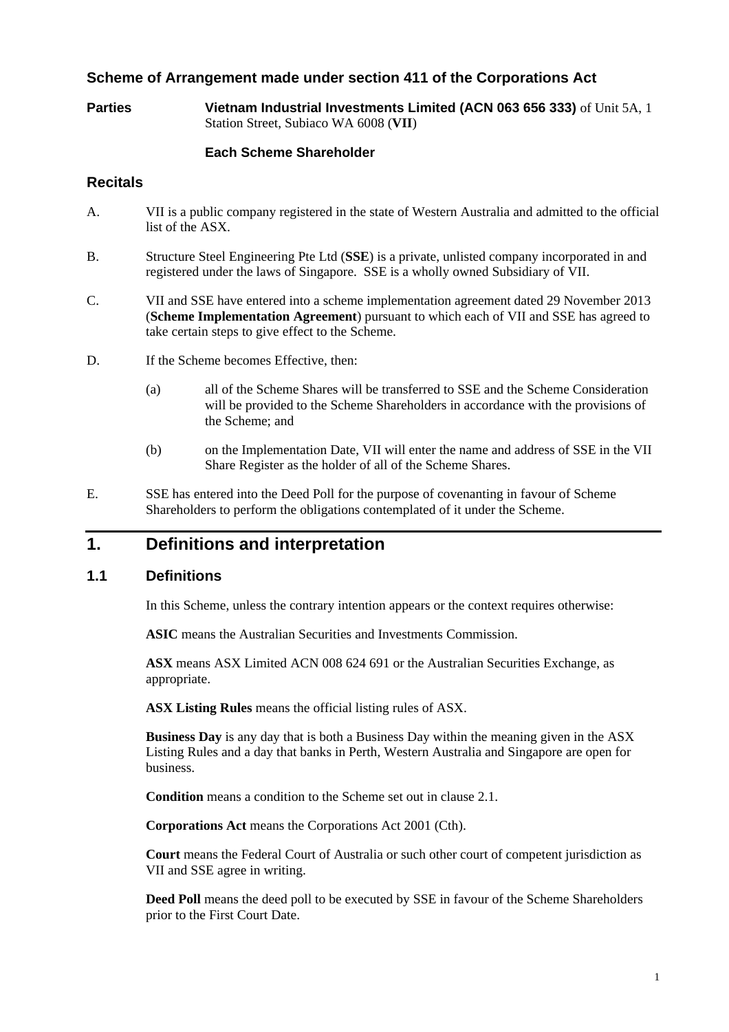## **Scheme of Arrangement made under section 411 of the Corporations Act**

**Parties Vietnam Industrial Investments Limited (ACN 063 656 333)** of Unit 5A, 1 Station Street, Subiaco WA 6008 (**VII**)

#### **Each Scheme Shareholder**

#### **Recitals**

- A. VII is a public company registered in the state of Western Australia and admitted to the official list of the ASX.
- B. Structure Steel Engineering Pte Ltd (**SSE**) is a private, unlisted company incorporated in and registered under the laws of Singapore. SSE is a wholly owned Subsidiary of VII.
- C. VII and SSE have entered into a scheme implementation agreement dated 29 November 2013 (**Scheme Implementation Agreement**) pursuant to which each of VII and SSE has agreed to take certain steps to give effect to the Scheme.
- D. If the Scheme becomes Effective, then:
	- (a) all of the Scheme Shares will be transferred to SSE and the Scheme Consideration will be provided to the Scheme Shareholders in accordance with the provisions of the Scheme; and
	- (b) on the Implementation Date, VII will enter the name and address of SSE in the VII Share Register as the holder of all of the Scheme Shares.
- E. SSE has entered into the Deed Poll for the purpose of covenanting in favour of Scheme Shareholders to perform the obligations contemplated of it under the Scheme.

## **1. Definitions and interpretation**

### **1.1 Definitions**

In this Scheme, unless the contrary intention appears or the context requires otherwise:

**ASIC** means the Australian Securities and Investments Commission.

**ASX** means ASX Limited ACN 008 624 691 or the Australian Securities Exchange, as appropriate.

**ASX Listing Rules** means the official listing rules of ASX.

**Business Day** is any day that is both a Business Day within the meaning given in the ASX Listing Rules and a day that banks in Perth, Western Australia and Singapore are open for business.

**Condition** means a condition to the Scheme set out in clause 2.1.

**Corporations Act** means the Corporations Act 2001 (Cth).

**Court** means the Federal Court of Australia or such other court of competent jurisdiction as VII and SSE agree in writing.

**Deed Poll** means the deed poll to be executed by SSE in favour of the Scheme Shareholders prior to the First Court Date.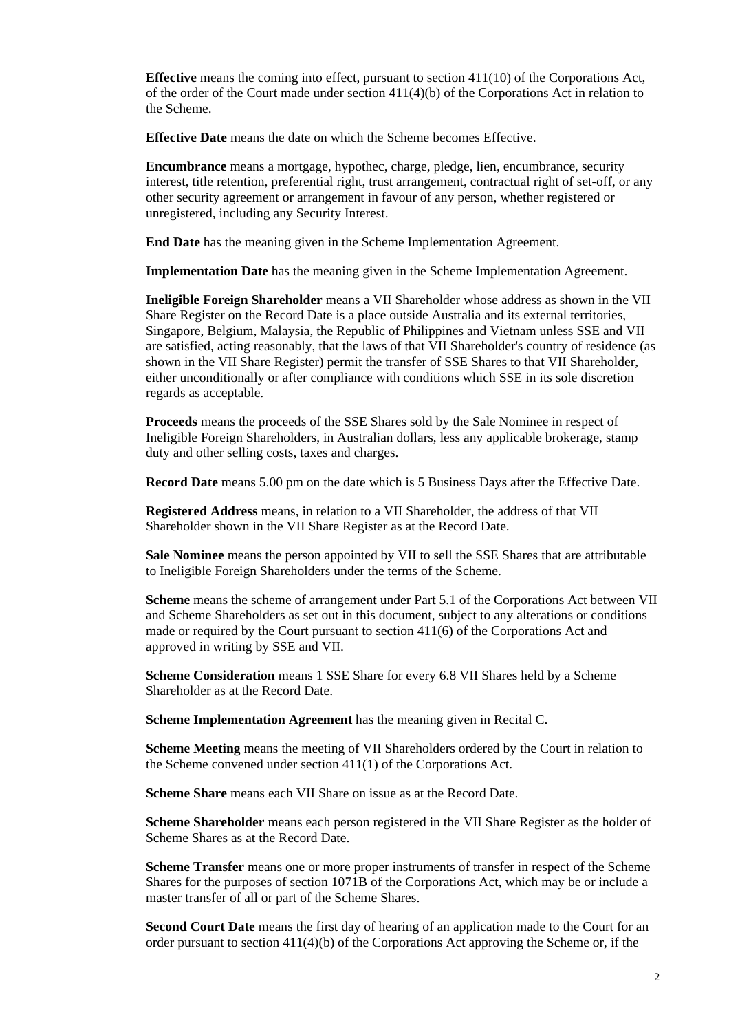**Effective** means the coming into effect, pursuant to section 411(10) of the Corporations Act, of the order of the Court made under section  $411(4)(b)$  of the Corporations Act in relation to the Scheme.

**Effective Date** means the date on which the Scheme becomes Effective.

**Encumbrance** means a mortgage, hypothec, charge, pledge, lien, encumbrance, security interest, title retention, preferential right, trust arrangement, contractual right of set-off, or any other security agreement or arrangement in favour of any person, whether registered or unregistered, including any Security Interest.

**End Date** has the meaning given in the Scheme Implementation Agreement.

**Implementation Date** has the meaning given in the Scheme Implementation Agreement.

**Ineligible Foreign Shareholder** means a VII Shareholder whose address as shown in the VII Share Register on the Record Date is a place outside Australia and its external territories, Singapore, Belgium, Malaysia, the Republic of Philippines and Vietnam unless SSE and VII are satisfied, acting reasonably, that the laws of that VII Shareholder's country of residence (as shown in the VII Share Register) permit the transfer of SSE Shares to that VII Shareholder, either unconditionally or after compliance with conditions which SSE in its sole discretion regards as acceptable.

**Proceeds** means the proceeds of the SSE Shares sold by the Sale Nominee in respect of Ineligible Foreign Shareholders, in Australian dollars, less any applicable brokerage, stamp duty and other selling costs, taxes and charges.

**Record Date** means 5.00 pm on the date which is 5 Business Days after the Effective Date.

**Registered Address** means, in relation to a VII Shareholder, the address of that VII Shareholder shown in the VII Share Register as at the Record Date.

**Sale Nominee** means the person appointed by VII to sell the SSE Shares that are attributable to Ineligible Foreign Shareholders under the terms of the Scheme.

**Scheme** means the scheme of arrangement under Part 5.1 of the Corporations Act between VII and Scheme Shareholders as set out in this document, subject to any alterations or conditions made or required by the Court pursuant to section 411(6) of the Corporations Act and approved in writing by SSE and VII.

**Scheme Consideration** means 1 SSE Share for every 6.8 VII Shares held by a Scheme Shareholder as at the Record Date.

**Scheme Implementation Agreement** has the meaning given in Recital C.

**Scheme Meeting** means the meeting of VII Shareholders ordered by the Court in relation to the Scheme convened under section 411(1) of the Corporations Act.

**Scheme Share** means each VII Share on issue as at the Record Date.

**Scheme Shareholder** means each person registered in the VII Share Register as the holder of Scheme Shares as at the Record Date.

**Scheme Transfer** means one or more proper instruments of transfer in respect of the Scheme Shares for the purposes of section 1071B of the Corporations Act, which may be or include a master transfer of all or part of the Scheme Shares.

**Second Court Date** means the first day of hearing of an application made to the Court for an order pursuant to section  $411(4)(b)$  of the Corporations Act approving the Scheme or, if the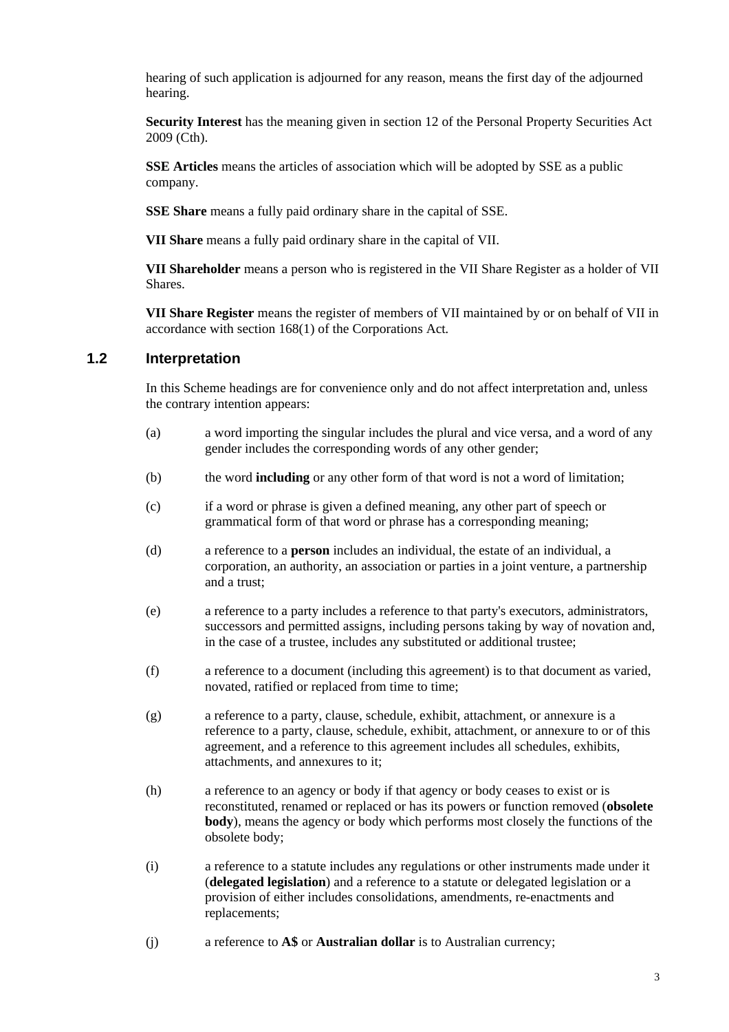hearing of such application is adjourned for any reason, means the first day of the adjourned hearing.

**Security Interest** has the meaning given in section 12 of the Personal Property Securities Act 2009 (Cth).

**SSE Articles** means the articles of association which will be adopted by SSE as a public company.

**SSE Share** means a fully paid ordinary share in the capital of SSE.

**VII Share** means a fully paid ordinary share in the capital of VII.

**VII Shareholder** means a person who is registered in the VII Share Register as a holder of VII Shares.

**VII Share Register** means the register of members of VII maintained by or on behalf of VII in accordance with section 168(1) of the Corporations Act*.*

## **1.2 Interpretation**

In this Scheme headings are for convenience only and do not affect interpretation and, unless the contrary intention appears:

- (a) a word importing the singular includes the plural and vice versa, and a word of any gender includes the corresponding words of any other gender;
- (b) the word **including** or any other form of that word is not a word of limitation;
- (c) if a word or phrase is given a defined meaning, any other part of speech or grammatical form of that word or phrase has a corresponding meaning;
- (d) a reference to a **person** includes an individual, the estate of an individual, a corporation, an authority, an association or parties in a joint venture, a partnership and a trust;
- (e) a reference to a party includes a reference to that party's executors, administrators, successors and permitted assigns, including persons taking by way of novation and, in the case of a trustee, includes any substituted or additional trustee;
- (f) a reference to a document (including this agreement) is to that document as varied, novated, ratified or replaced from time to time;
- (g) a reference to a party, clause, schedule, exhibit, attachment, or annexure is a reference to a party, clause, schedule, exhibit, attachment, or annexure to or of this agreement, and a reference to this agreement includes all schedules, exhibits, attachments, and annexures to it;
- (h) a reference to an agency or body if that agency or body ceases to exist or is reconstituted, renamed or replaced or has its powers or function removed (**obsolete body**), means the agency or body which performs most closely the functions of the obsolete body;
- (i) a reference to a statute includes any regulations or other instruments made under it (**delegated legislation**) and a reference to a statute or delegated legislation or a provision of either includes consolidations, amendments, re-enactments and replacements;
- (j) a reference to **A\$** or **Australian dollar** is to Australian currency;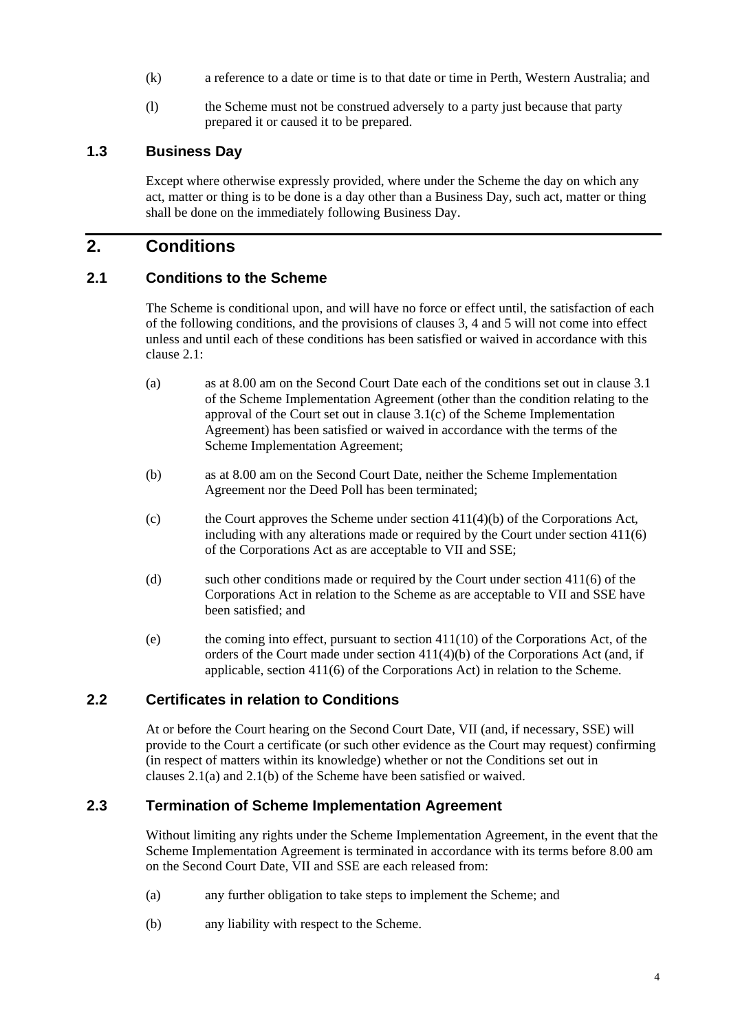- (k) a reference to a date or time is to that date or time in Perth, Western Australia; and
- (l) the Scheme must not be construed adversely to a party just because that party prepared it or caused it to be prepared.

## **1.3 Business Day**

Except where otherwise expressly provided, where under the Scheme the day on which any act, matter or thing is to be done is a day other than a Business Day, such act, matter or thing shall be done on the immediately following Business Day.

## **2. Conditions**

## **2.1 Conditions to the Scheme**

The Scheme is conditional upon, and will have no force or effect until, the satisfaction of each of the following conditions, and the provisions of clauses 3, 4 and 5 will not come into effect unless and until each of these conditions has been satisfied or waived in accordance with this clause 2.1:

- (a) as at 8.00 am on the Second Court Date each of the conditions set out in clause 3.1 of the Scheme Implementation Agreement (other than the condition relating to the approval of the Court set out in clause 3.1(c) of the Scheme Implementation Agreement) has been satisfied or waived in accordance with the terms of the Scheme Implementation Agreement;
- (b) as at 8.00 am on the Second Court Date, neither the Scheme Implementation Agreement nor the Deed Poll has been terminated;
- (c) the Court approves the Scheme under section  $411(4)(b)$  of the Corporations Act, including with any alterations made or required by the Court under section 411(6) of the Corporations Act as are acceptable to VII and SSE;
- (d) such other conditions made or required by the Court under section 411(6) of the Corporations Act in relation to the Scheme as are acceptable to VII and SSE have been satisfied; and
- (e) the coming into effect, pursuant to section 411(10) of the Corporations Act, of the orders of the Court made under section 411(4)(b) of the Corporations Act (and, if applicable, section 411(6) of the Corporations Act) in relation to the Scheme.

## **2.2 Certificates in relation to Conditions**

At or before the Court hearing on the Second Court Date, VII (and, if necessary, SSE) will provide to the Court a certificate (or such other evidence as the Court may request) confirming (in respect of matters within its knowledge) whether or not the Conditions set out in clauses 2.1(a) and 2.1(b) of the Scheme have been satisfied or waived.

#### **2.3 Termination of Scheme Implementation Agreement**

Without limiting any rights under the Scheme Implementation Agreement, in the event that the Scheme Implementation Agreement is terminated in accordance with its terms before 8.00 am on the Second Court Date, VII and SSE are each released from:

- (a) any further obligation to take steps to implement the Scheme; and
- (b) any liability with respect to the Scheme.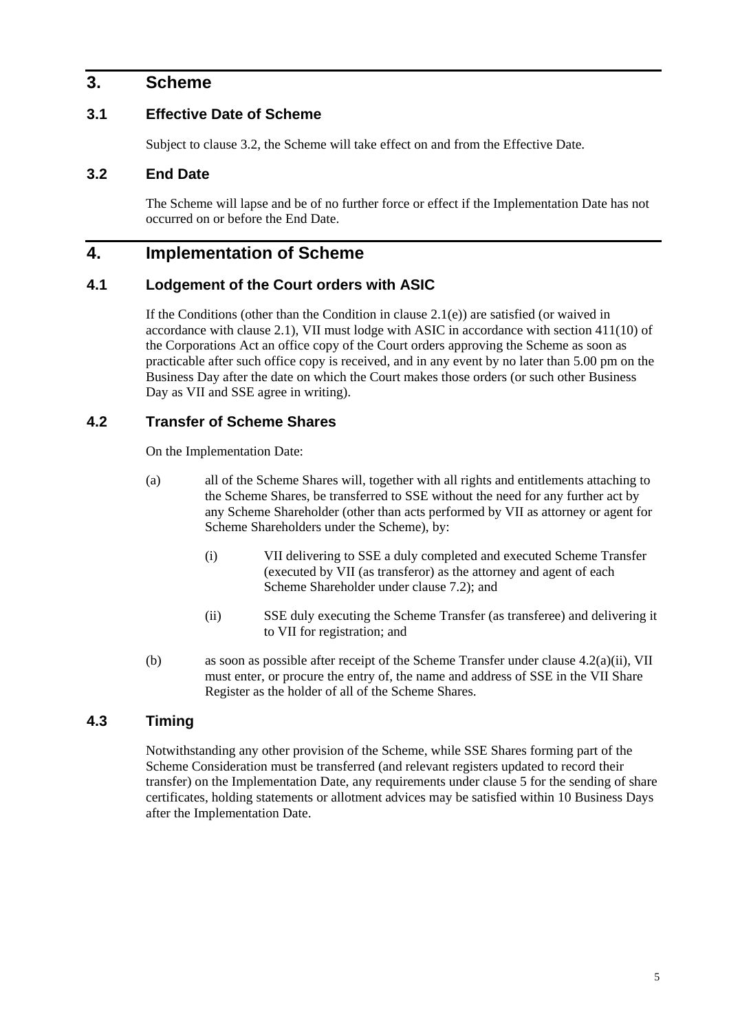## **3. Scheme**

## **3.1 Effective Date of Scheme**

Subject to clause 3.2, the Scheme will take effect on and from the Effective Date.

## **3.2 End Date**

The Scheme will lapse and be of no further force or effect if the Implementation Date has not occurred on or before the End Date.

## **4. Implementation of Scheme**

#### **4.1 Lodgement of the Court orders with ASIC**

If the Conditions (other than the Condition in clause  $2.1(e)$ ) are satisfied (or waived in accordance with clause 2.1), VII must lodge with ASIC in accordance with section 411(10) of the Corporations Act an office copy of the Court orders approving the Scheme as soon as practicable after such office copy is received, and in any event by no later than 5.00 pm on the Business Day after the date on which the Court makes those orders (or such other Business Day as VII and SSE agree in writing).

## **4.2 Transfer of Scheme Shares**

On the Implementation Date:

- (a) all of the Scheme Shares will, together with all rights and entitlements attaching to the Scheme Shares, be transferred to SSE without the need for any further act by any Scheme Shareholder (other than acts performed by VII as attorney or agent for Scheme Shareholders under the Scheme), by:
	- (i) VII delivering to SSE a duly completed and executed Scheme Transfer (executed by VII (as transferor) as the attorney and agent of each Scheme Shareholder under clause 7.2); and
	- (ii) SSE duly executing the Scheme Transfer (as transferee) and delivering it to VII for registration; and
- (b) as soon as possible after receipt of the Scheme Transfer under clause 4.2(a)(ii), VII must enter, or procure the entry of, the name and address of SSE in the VII Share Register as the holder of all of the Scheme Shares.

## **4.3 Timing**

Notwithstanding any other provision of the Scheme, while SSE Shares forming part of the Scheme Consideration must be transferred (and relevant registers updated to record their transfer) on the Implementation Date, any requirements under clause 5 for the sending of share certificates, holding statements or allotment advices may be satisfied within 10 Business Days after the Implementation Date.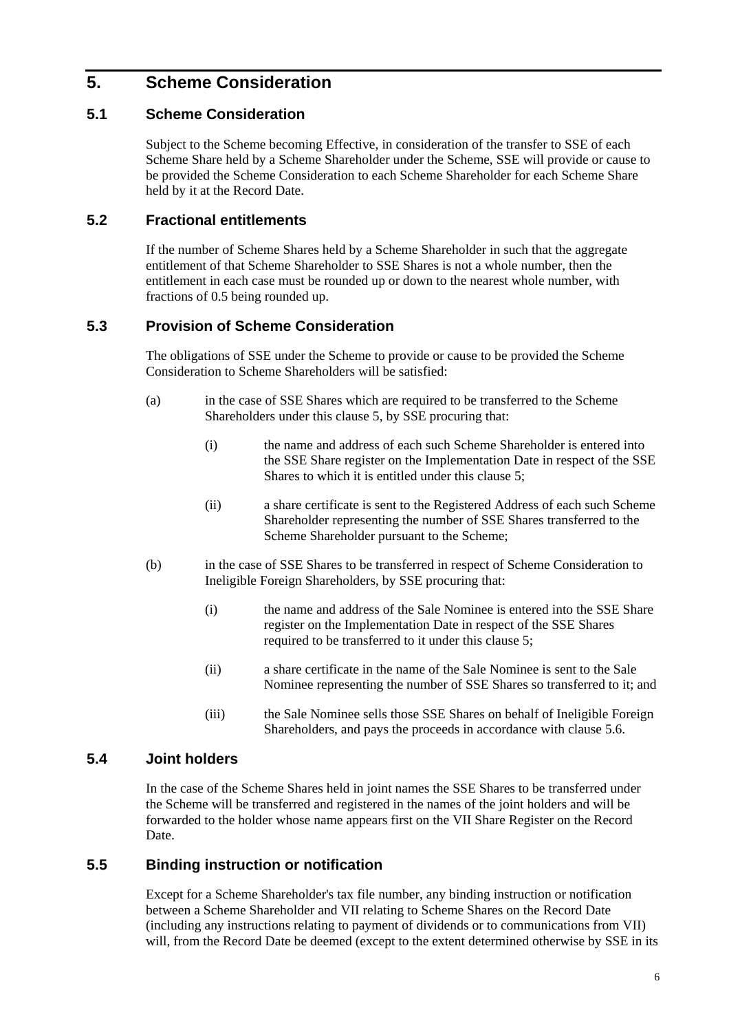## **5. Scheme Consideration**

## **5.1 Scheme Consideration**

Subject to the Scheme becoming Effective, in consideration of the transfer to SSE of each Scheme Share held by a Scheme Shareholder under the Scheme, SSE will provide or cause to be provided the Scheme Consideration to each Scheme Shareholder for each Scheme Share held by it at the Record Date.

## **5.2 Fractional entitlements**

If the number of Scheme Shares held by a Scheme Shareholder in such that the aggregate entitlement of that Scheme Shareholder to SSE Shares is not a whole number, then the entitlement in each case must be rounded up or down to the nearest whole number, with fractions of 0.5 being rounded up.

## **5.3 Provision of Scheme Consideration**

The obligations of SSE under the Scheme to provide or cause to be provided the Scheme Consideration to Scheme Shareholders will be satisfied:

- (a) in the case of SSE Shares which are required to be transferred to the Scheme Shareholders under this clause 5, by SSE procuring that:
	- (i) the name and address of each such Scheme Shareholder is entered into the SSE Share register on the Implementation Date in respect of the SSE Shares to which it is entitled under this clause 5;
	- (ii) a share certificate is sent to the Registered Address of each such Scheme Shareholder representing the number of SSE Shares transferred to the Scheme Shareholder pursuant to the Scheme;
- (b) in the case of SSE Shares to be transferred in respect of Scheme Consideration to Ineligible Foreign Shareholders, by SSE procuring that:
	- (i) the name and address of the Sale Nominee is entered into the SSE Share register on the Implementation Date in respect of the SSE Shares required to be transferred to it under this clause 5:
	- (ii) a share certificate in the name of the Sale Nominee is sent to the Sale Nominee representing the number of SSE Shares so transferred to it; and
	- (iii) the Sale Nominee sells those SSE Shares on behalf of Ineligible Foreign Shareholders, and pays the proceeds in accordance with clause 5.6.

## **5.4 Joint holders**

In the case of the Scheme Shares held in joint names the SSE Shares to be transferred under the Scheme will be transferred and registered in the names of the joint holders and will be forwarded to the holder whose name appears first on the VII Share Register on the Record Date.

## **5.5 Binding instruction or notification**

Except for a Scheme Shareholder's tax file number, any binding instruction or notification between a Scheme Shareholder and VII relating to Scheme Shares on the Record Date (including any instructions relating to payment of dividends or to communications from VII) will, from the Record Date be deemed (except to the extent determined otherwise by SSE in its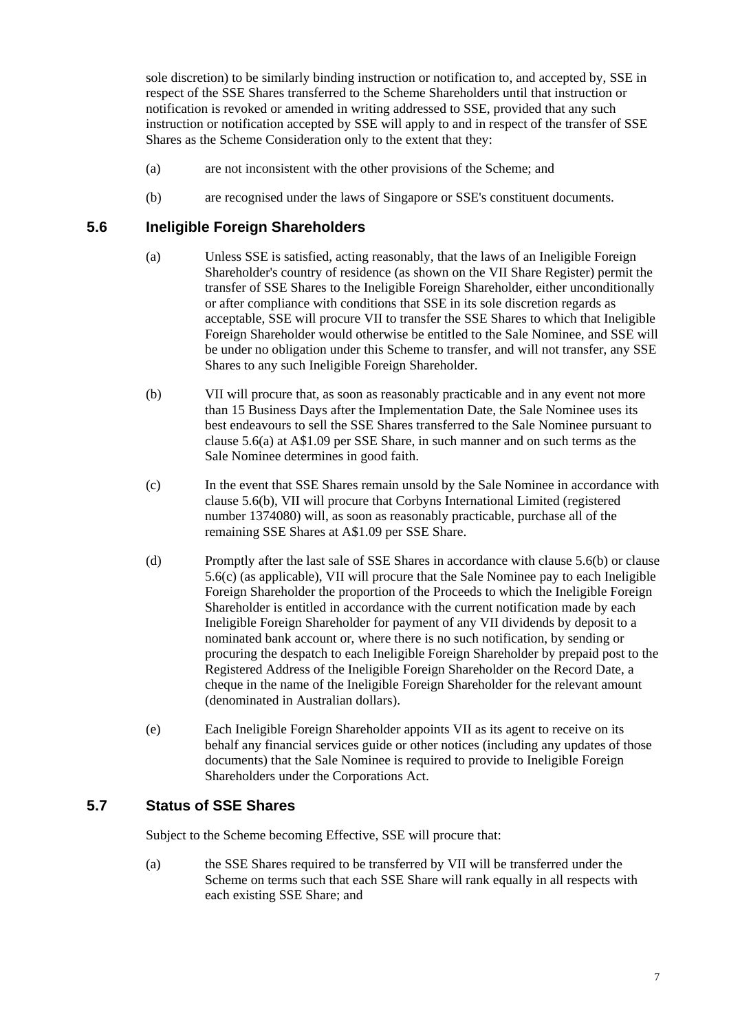sole discretion) to be similarly binding instruction or notification to, and accepted by, SSE in respect of the SSE Shares transferred to the Scheme Shareholders until that instruction or notification is revoked or amended in writing addressed to SSE, provided that any such instruction or notification accepted by SSE will apply to and in respect of the transfer of SSE Shares as the Scheme Consideration only to the extent that they:

- (a) are not inconsistent with the other provisions of the Scheme; and
- (b) are recognised under the laws of Singapore or SSE's constituent documents.

## **5.6 Ineligible Foreign Shareholders**

- (a) Unless SSE is satisfied, acting reasonably, that the laws of an Ineligible Foreign Shareholder's country of residence (as shown on the VII Share Register) permit the transfer of SSE Shares to the Ineligible Foreign Shareholder, either unconditionally or after compliance with conditions that SSE in its sole discretion regards as acceptable, SSE will procure VII to transfer the SSE Shares to which that Ineligible Foreign Shareholder would otherwise be entitled to the Sale Nominee, and SSE will be under no obligation under this Scheme to transfer, and will not transfer, any SSE Shares to any such Ineligible Foreign Shareholder.
- (b) VII will procure that, as soon as reasonably practicable and in any event not more than 15 Business Days after the Implementation Date, the Sale Nominee uses its best endeavours to sell the SSE Shares transferred to the Sale Nominee pursuant to clause 5.6(a) at A\$1.09 per SSE Share, in such manner and on such terms as the Sale Nominee determines in good faith.
- (c) In the event that SSE Shares remain unsold by the Sale Nominee in accordance with clause 5.6(b), VII will procure that Corbyns International Limited (registered number 1374080) will, as soon as reasonably practicable, purchase all of the remaining SSE Shares at A\$1.09 per SSE Share.
- (d) Promptly after the last sale of SSE Shares in accordance with clause 5.6(b) or clause 5.6(c) (as applicable), VII will procure that the Sale Nominee pay to each Ineligible Foreign Shareholder the proportion of the Proceeds to which the Ineligible Foreign Shareholder is entitled in accordance with the current notification made by each Ineligible Foreign Shareholder for payment of any VII dividends by deposit to a nominated bank account or, where there is no such notification, by sending or procuring the despatch to each Ineligible Foreign Shareholder by prepaid post to the Registered Address of the Ineligible Foreign Shareholder on the Record Date, a cheque in the name of the Ineligible Foreign Shareholder for the relevant amount (denominated in Australian dollars).
- (e) Each Ineligible Foreign Shareholder appoints VII as its agent to receive on its behalf any financial services guide or other notices (including any updates of those documents) that the Sale Nominee is required to provide to Ineligible Foreign Shareholders under the Corporations Act.

### **5.7 Status of SSE Shares**

Subject to the Scheme becoming Effective, SSE will procure that:

(a) the SSE Shares required to be transferred by VII will be transferred under the Scheme on terms such that each SSE Share will rank equally in all respects with each existing SSE Share; and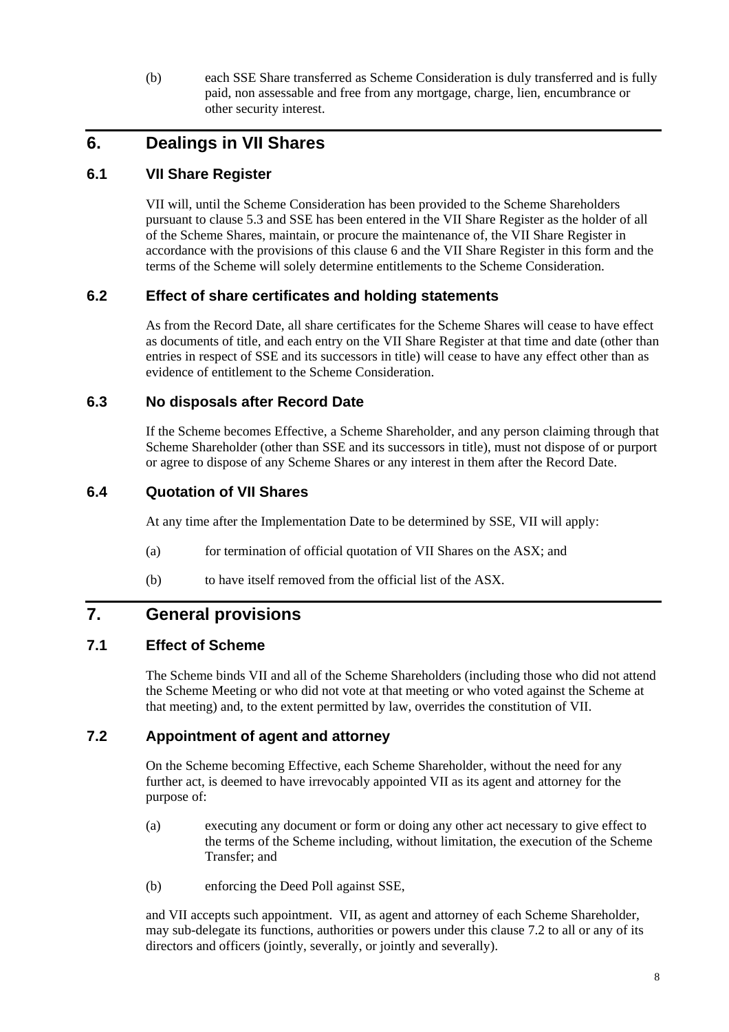(b) each SSE Share transferred as Scheme Consideration is duly transferred and is fully paid, non assessable and free from any mortgage, charge, lien, encumbrance or other security interest.

## **6. Dealings in VII Shares**

## **6.1 VII Share Register**

VII will, until the Scheme Consideration has been provided to the Scheme Shareholders pursuant to clause 5.3 and SSE has been entered in the VII Share Register as the holder of all of the Scheme Shares, maintain, or procure the maintenance of, the VII Share Register in accordance with the provisions of this clause 6 and the VII Share Register in this form and the terms of the Scheme will solely determine entitlements to the Scheme Consideration.

## **6.2 Effect of share certificates and holding statements**

As from the Record Date, all share certificates for the Scheme Shares will cease to have effect as documents of title, and each entry on the VII Share Register at that time and date (other than entries in respect of SSE and its successors in title) will cease to have any effect other than as evidence of entitlement to the Scheme Consideration.

## **6.3 No disposals after Record Date**

If the Scheme becomes Effective, a Scheme Shareholder, and any person claiming through that Scheme Shareholder (other than SSE and its successors in title), must not dispose of or purport or agree to dispose of any Scheme Shares or any interest in them after the Record Date.

## **6.4 Quotation of VII Shares**

At any time after the Implementation Date to be determined by SSE, VII will apply:

- (a) for termination of official quotation of VII Shares on the ASX; and
- (b) to have itself removed from the official list of the ASX.

## **7. General provisions**

## **7.1 Effect of Scheme**

The Scheme binds VII and all of the Scheme Shareholders (including those who did not attend the Scheme Meeting or who did not vote at that meeting or who voted against the Scheme at that meeting) and, to the extent permitted by law, overrides the constitution of VII.

## **7.2 Appointment of agent and attorney**

On the Scheme becoming Effective, each Scheme Shareholder, without the need for any further act, is deemed to have irrevocably appointed VII as its agent and attorney for the purpose of:

- (a) executing any document or form or doing any other act necessary to give effect to the terms of the Scheme including, without limitation, the execution of the Scheme Transfer; and
- (b) enforcing the Deed Poll against SSE,

and VII accepts such appointment. VII, as agent and attorney of each Scheme Shareholder, may sub-delegate its functions, authorities or powers under this clause 7.2 to all or any of its directors and officers (jointly, severally, or jointly and severally).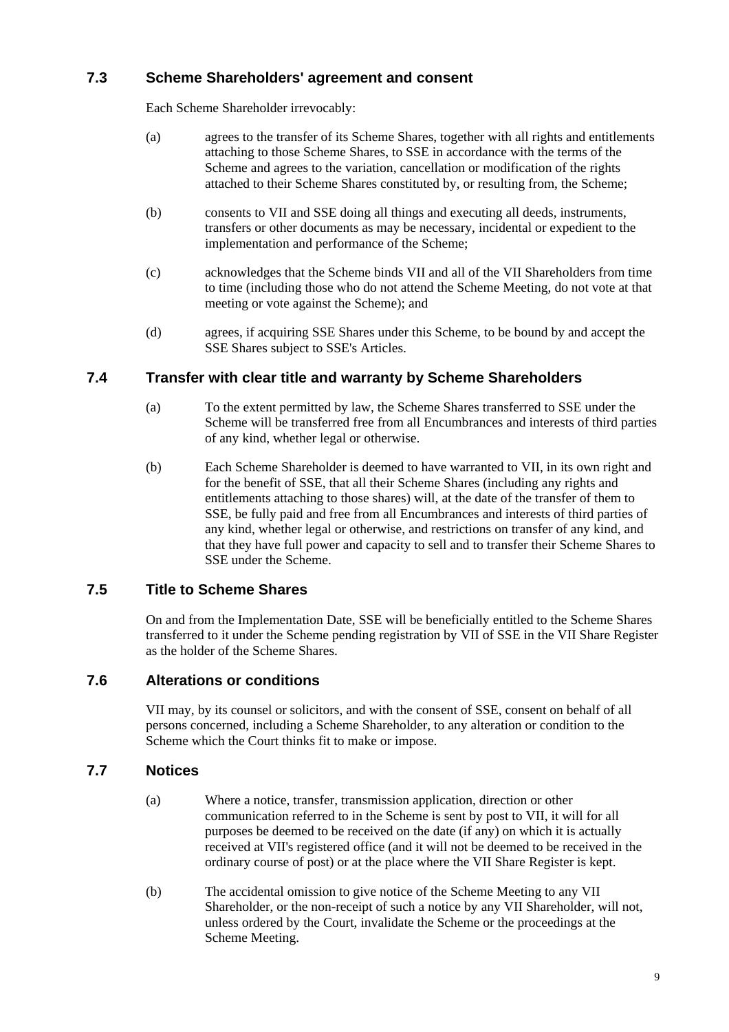## **7.3 Scheme Shareholders' agreement and consent**

Each Scheme Shareholder irrevocably:

- (a) agrees to the transfer of its Scheme Shares, together with all rights and entitlements attaching to those Scheme Shares, to SSE in accordance with the terms of the Scheme and agrees to the variation, cancellation or modification of the rights attached to their Scheme Shares constituted by, or resulting from, the Scheme;
- (b) consents to VII and SSE doing all things and executing all deeds, instruments, transfers or other documents as may be necessary, incidental or expedient to the implementation and performance of the Scheme;
- (c) acknowledges that the Scheme binds VII and all of the VII Shareholders from time to time (including those who do not attend the Scheme Meeting, do not vote at that meeting or vote against the Scheme); and
- (d) agrees, if acquiring SSE Shares under this Scheme, to be bound by and accept the SSE Shares subject to SSE's Articles.

## **7.4 Transfer with clear title and warranty by Scheme Shareholders**

- (a) To the extent permitted by law, the Scheme Shares transferred to SSE under the Scheme will be transferred free from all Encumbrances and interests of third parties of any kind, whether legal or otherwise.
- (b) Each Scheme Shareholder is deemed to have warranted to VII, in its own right and for the benefit of SSE, that all their Scheme Shares (including any rights and entitlements attaching to those shares) will, at the date of the transfer of them to SSE, be fully paid and free from all Encumbrances and interests of third parties of any kind, whether legal or otherwise, and restrictions on transfer of any kind, and that they have full power and capacity to sell and to transfer their Scheme Shares to SSE under the Scheme.

## **7.5 Title to Scheme Shares**

On and from the Implementation Date, SSE will be beneficially entitled to the Scheme Shares transferred to it under the Scheme pending registration by VII of SSE in the VII Share Register as the holder of the Scheme Shares.

## **7.6 Alterations or conditions**

VII may, by its counsel or solicitors, and with the consent of SSE, consent on behalf of all persons concerned, including a Scheme Shareholder, to any alteration or condition to the Scheme which the Court thinks fit to make or impose.

## **7.7 Notices**

- (a) Where a notice, transfer, transmission application, direction or other communication referred to in the Scheme is sent by post to VII, it will for all purposes be deemed to be received on the date (if any) on which it is actually received at VII's registered office (and it will not be deemed to be received in the ordinary course of post) or at the place where the VII Share Register is kept.
- (b) The accidental omission to give notice of the Scheme Meeting to any VII Shareholder, or the non-receipt of such a notice by any VII Shareholder, will not, unless ordered by the Court, invalidate the Scheme or the proceedings at the Scheme Meeting.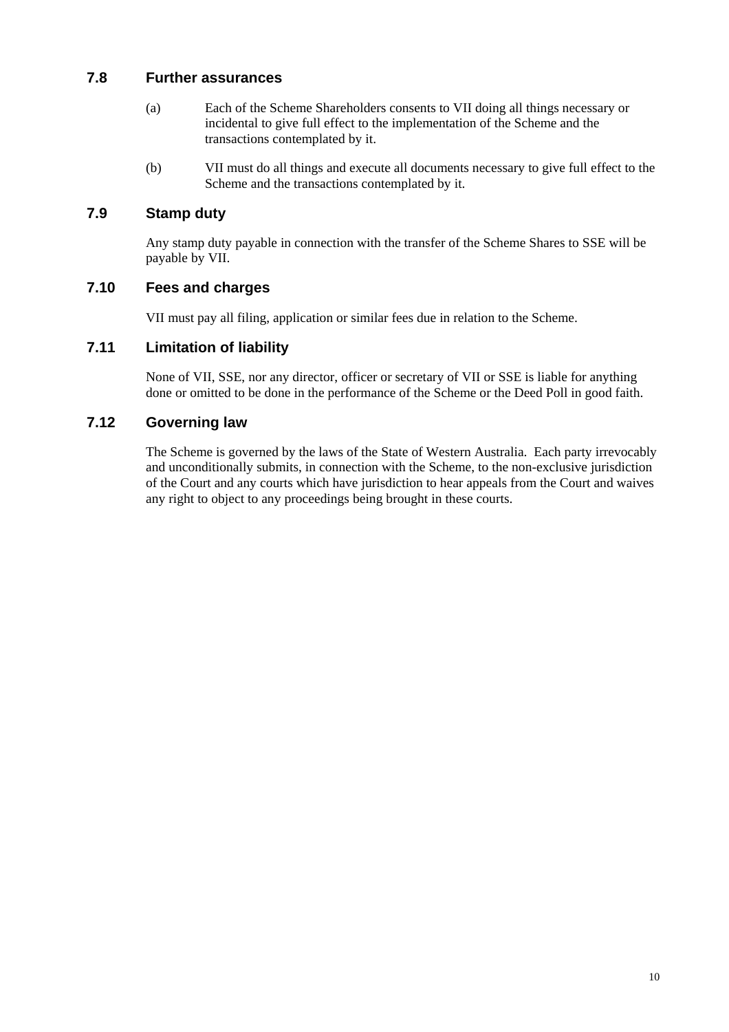## **7.8 Further assurances**

- (a) Each of the Scheme Shareholders consents to VII doing all things necessary or incidental to give full effect to the implementation of the Scheme and the transactions contemplated by it.
- (b) VII must do all things and execute all documents necessary to give full effect to the Scheme and the transactions contemplated by it.

## **7.9 Stamp duty**

Any stamp duty payable in connection with the transfer of the Scheme Shares to SSE will be payable by VII.

## **7.10 Fees and charges**

VII must pay all filing, application or similar fees due in relation to the Scheme.

## **7.11 Limitation of liability**

None of VII, SSE, nor any director, officer or secretary of VII or SSE is liable for anything done or omitted to be done in the performance of the Scheme or the Deed Poll in good faith.

## **7.12 Governing law**

The Scheme is governed by the laws of the State of Western Australia. Each party irrevocably and unconditionally submits, in connection with the Scheme, to the non-exclusive jurisdiction of the Court and any courts which have jurisdiction to hear appeals from the Court and waives any right to object to any proceedings being brought in these courts.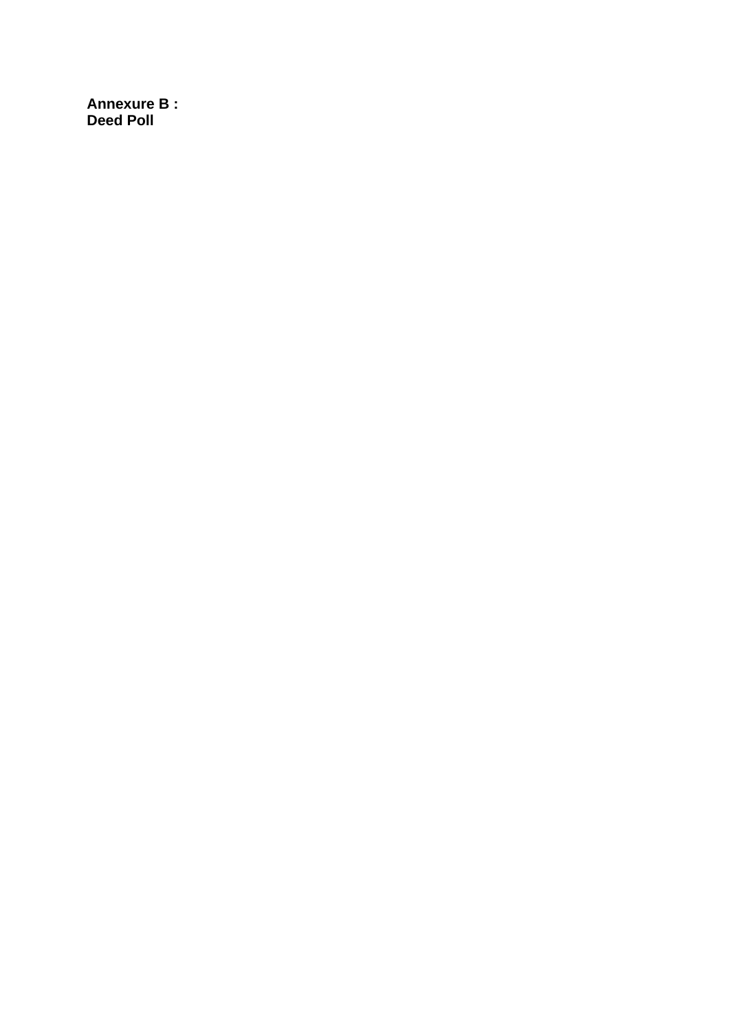**Annexure B : Deed Poll**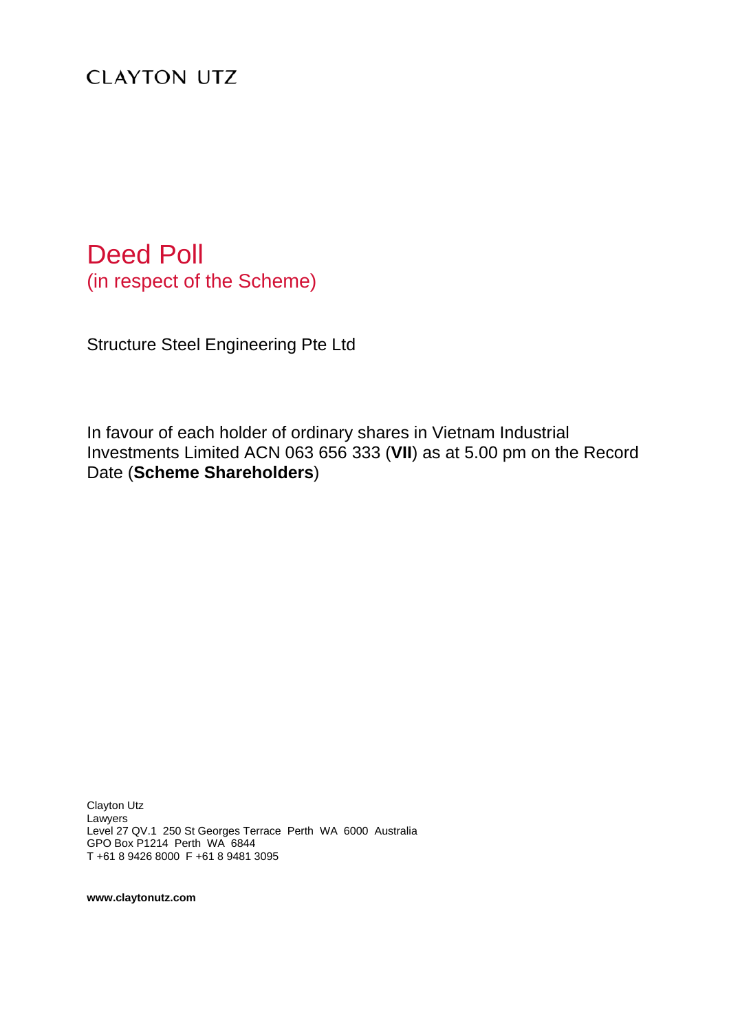# **CLAYTON UTZ**

# Deed Poll (in respect of the Scheme)

Structure Steel Engineering Pte Ltd

In favour of each holder of ordinary shares in Vietnam Industrial Investments Limited ACN 063 656 333 (**VII**) as at 5.00 pm on the Record Date (**Scheme Shareholders**)

Clayton Utz Lawyers Level 27 QV.1 250 St Georges Terrace Perth WA 6000 Australia GPO Box P1214 Perth WA 6844 T +61 8 9426 8000 F +61 8 9481 3095

**www.claytonutz.com**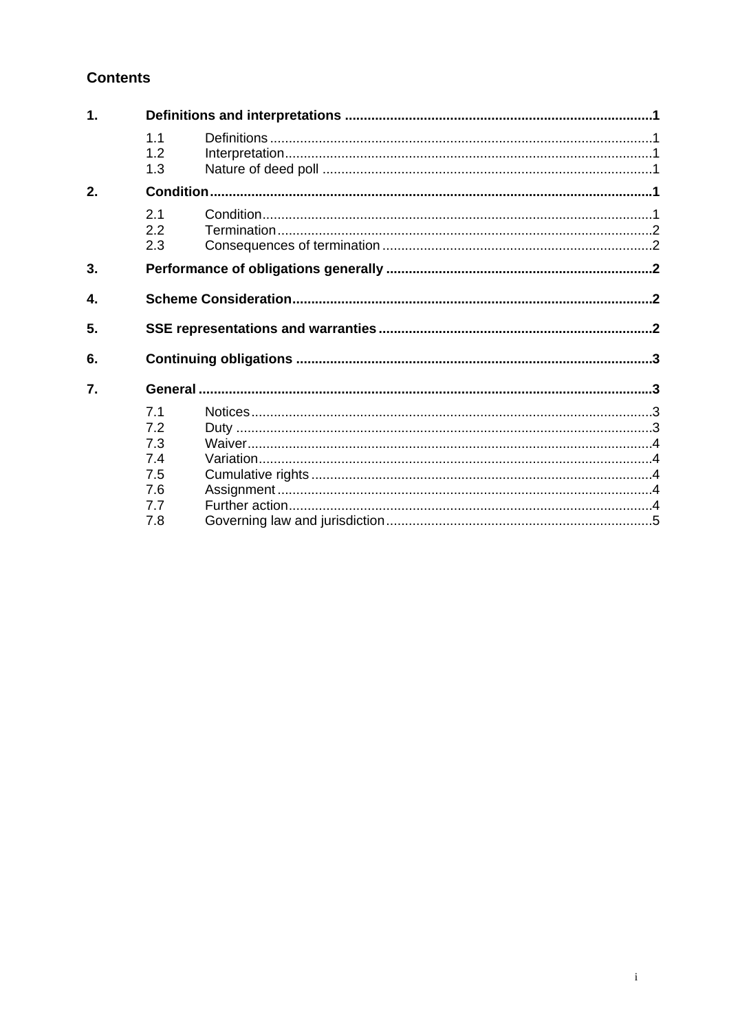## **Contents**

| 1. |                                                      |  |  |  |
|----|------------------------------------------------------|--|--|--|
|    | 1.1<br>1.2 <sub>2</sub><br>1.3                       |  |  |  |
| 2. |                                                      |  |  |  |
|    | 2.1<br>2.2<br>2.3                                    |  |  |  |
| 3. |                                                      |  |  |  |
| 4. |                                                      |  |  |  |
| 5. |                                                      |  |  |  |
| 6. |                                                      |  |  |  |
| 7. |                                                      |  |  |  |
|    | 7.1<br>7.2<br>7.3<br>7.4<br>7.5<br>7.6<br>7.7<br>7.8 |  |  |  |
|    |                                                      |  |  |  |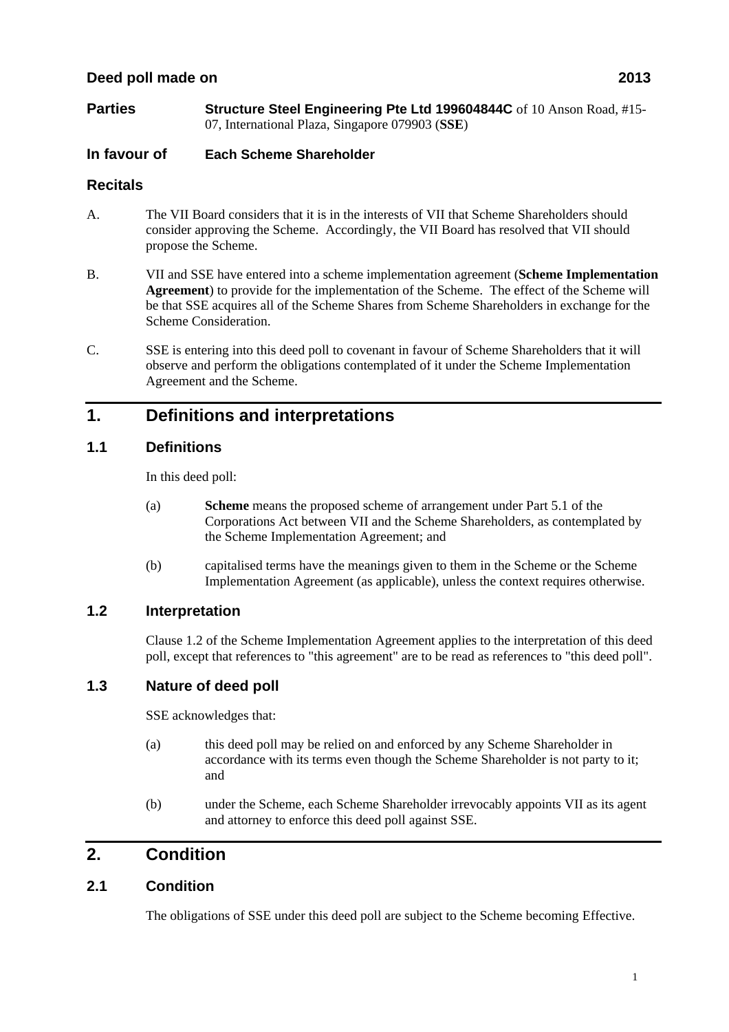## **Deed poll made on 2013**

**Parties Structure Steel Engineering Pte Ltd 199604844C** of 10 Anson Road, #15-07, International Plaza, Singapore 079903 (**SSE**)

## **In favour of Each Scheme Shareholder**

## **Recitals**

- A. The VII Board considers that it is in the interests of VII that Scheme Shareholders should consider approving the Scheme. Accordingly, the VII Board has resolved that VII should propose the Scheme.
- B. VII and SSE have entered into a scheme implementation agreement (**Scheme Implementation Agreement**) to provide for the implementation of the Scheme. The effect of the Scheme will be that SSE acquires all of the Scheme Shares from Scheme Shareholders in exchange for the Scheme Consideration.
- C. SSE is entering into this deed poll to covenant in favour of Scheme Shareholders that it will observe and perform the obligations contemplated of it under the Scheme Implementation Agreement and the Scheme.

## **1. Definitions and interpretations**

## **1.1 Definitions**

In this deed poll:

- (a) **Scheme** means the proposed scheme of arrangement under Part 5.1 of the Corporations Act between VII and the Scheme Shareholders, as contemplated by the Scheme Implementation Agreement; and
- (b) capitalised terms have the meanings given to them in the Scheme or the Scheme Implementation Agreement (as applicable), unless the context requires otherwise.

## **1.2 Interpretation**

Clause 1.2 of the Scheme Implementation Agreement applies to the interpretation of this deed poll, except that references to "this agreement" are to be read as references to "this deed poll".

## **1.3 Nature of deed poll**

SSE acknowledges that:

- (a) this deed poll may be relied on and enforced by any Scheme Shareholder in accordance with its terms even though the Scheme Shareholder is not party to it; and
- (b) under the Scheme, each Scheme Shareholder irrevocably appoints VII as its agent and attorney to enforce this deed poll against SSE.

## **2. Condition**

## **2.1 Condition**

The obligations of SSE under this deed poll are subject to the Scheme becoming Effective.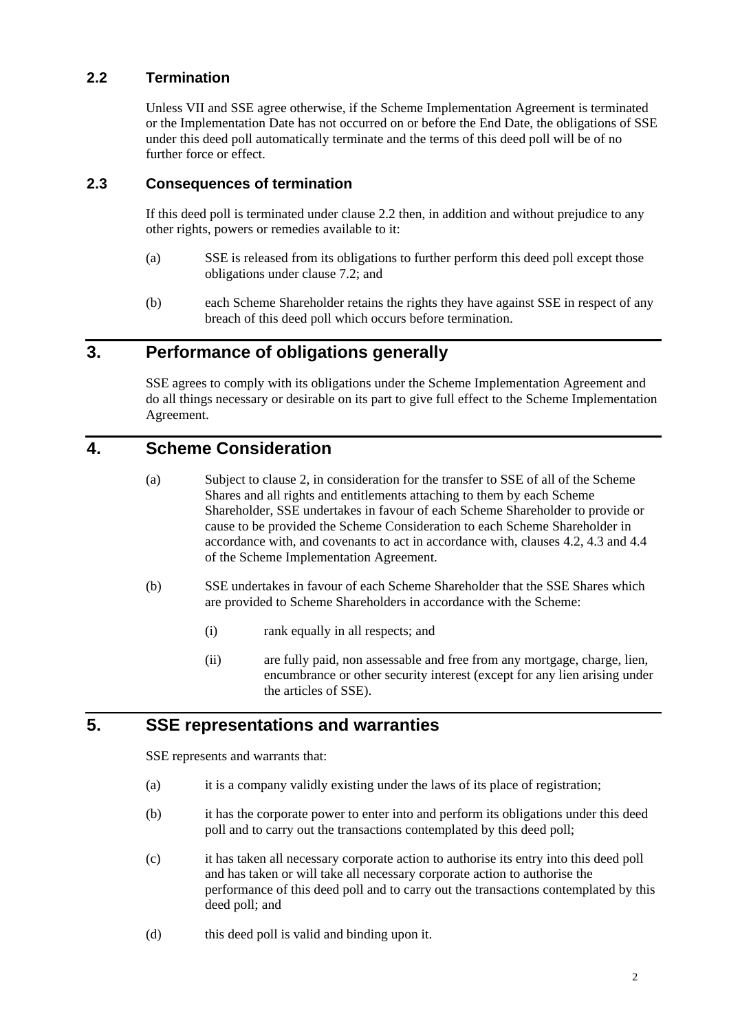## **2.2 Termination**

Unless VII and SSE agree otherwise, if the Scheme Implementation Agreement is terminated or the Implementation Date has not occurred on or before the End Date, the obligations of SSE under this deed poll automatically terminate and the terms of this deed poll will be of no further force or effect.

## **2.3 Consequences of termination**

If this deed poll is terminated under clause 2.2 then, in addition and without prejudice to any other rights, powers or remedies available to it:

- (a) SSE is released from its obligations to further perform this deed poll except those obligations under clause 7.2; and
- (b) each Scheme Shareholder retains the rights they have against SSE in respect of any breach of this deed poll which occurs before termination.

# **3. Performance of obligations generally**

SSE agrees to comply with its obligations under the Scheme Implementation Agreement and do all things necessary or desirable on its part to give full effect to the Scheme Implementation Agreement.

## **4. Scheme Consideration**

- (a) Subject to clause 2, in consideration for the transfer to SSE of all of the Scheme Shares and all rights and entitlements attaching to them by each Scheme Shareholder, SSE undertakes in favour of each Scheme Shareholder to provide or cause to be provided the Scheme Consideration to each Scheme Shareholder in accordance with, and covenants to act in accordance with, clauses 4.2, 4.3 and 4.4 of the Scheme Implementation Agreement.
- (b) SSE undertakes in favour of each Scheme Shareholder that the SSE Shares which are provided to Scheme Shareholders in accordance with the Scheme:
	- (i) rank equally in all respects; and
	- (ii) are fully paid, non assessable and free from any mortgage, charge, lien, encumbrance or other security interest (except for any lien arising under the articles of SSE).

# **5. SSE representations and warranties**

SSE represents and warrants that:

- (a) it is a company validly existing under the laws of its place of registration;
- (b) it has the corporate power to enter into and perform its obligations under this deed poll and to carry out the transactions contemplated by this deed poll;
- (c) it has taken all necessary corporate action to authorise its entry into this deed poll and has taken or will take all necessary corporate action to authorise the performance of this deed poll and to carry out the transactions contemplated by this deed poll; and
- (d) this deed poll is valid and binding upon it.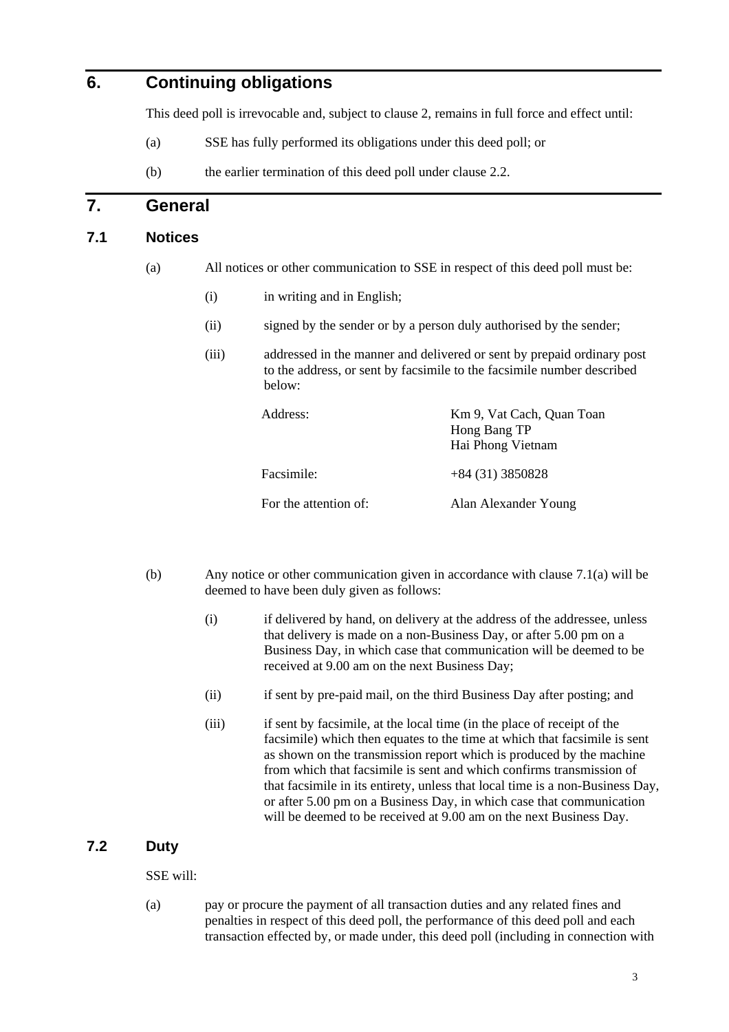## **6. Continuing obligations**

This deed poll is irrevocable and, subject to clause 2, remains in full force and effect until:

- (a) SSE has fully performed its obligations under this deed poll; or
- (b) the earlier termination of this deed poll under clause 2.2.

## **7. General**

## **7.1 Notices**

- (a) All notices or other communication to SSE in respect of this deed poll must be:
	- (i) in writing and in English;
	- (ii) signed by the sender or by a person duly authorised by the sender;
	- (iii) addressed in the manner and delivered or sent by prepaid ordinary post to the address, or sent by facsimile to the facsimile number described below:

| Address:              | Km 9, Vat Cach, Quan Toan<br>Hong Bang TP<br>Hai Phong Vietnam |
|-----------------------|----------------------------------------------------------------|
| Facsimile:            | $+84(31)3850828$                                               |
| For the attention of: | Alan Alexander Young                                           |

- (b) Any notice or other communication given in accordance with clause 7.1(a) will be deemed to have been duly given as follows:
	- (i) if delivered by hand, on delivery at the address of the addressee, unless that delivery is made on a non-Business Day, or after 5.00 pm on a Business Day, in which case that communication will be deemed to be received at 9.00 am on the next Business Day;
	- (ii) if sent by pre-paid mail, on the third Business Day after posting; and
	- (iii) if sent by facsimile, at the local time (in the place of receipt of the facsimile) which then equates to the time at which that facsimile is sent as shown on the transmission report which is produced by the machine from which that facsimile is sent and which confirms transmission of that facsimile in its entirety, unless that local time is a non-Business Day, or after 5.00 pm on a Business Day, in which case that communication will be deemed to be received at 9.00 am on the next Business Day.

#### **7.2 Duty**

SSE will:

(a) pay or procure the payment of all transaction duties and any related fines and penalties in respect of this deed poll, the performance of this deed poll and each transaction effected by, or made under, this deed poll (including in connection with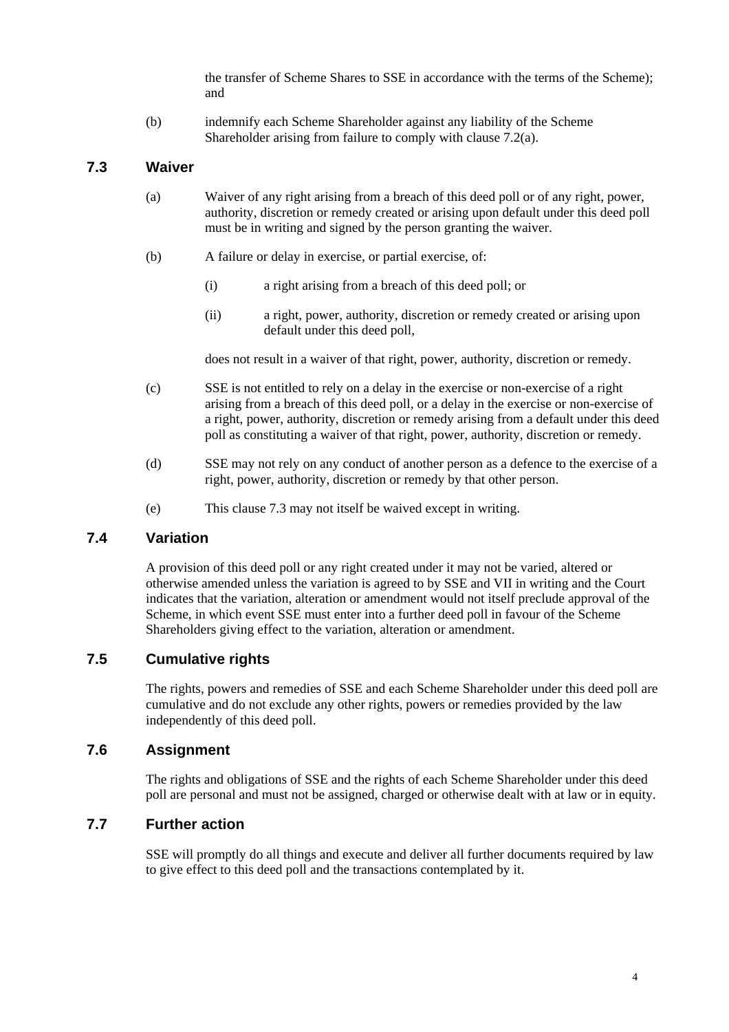the transfer of Scheme Shares to SSE in accordance with the terms of the Scheme); and

(b) indemnify each Scheme Shareholder against any liability of the Scheme Shareholder arising from failure to comply with clause 7.2(a).

## **7.3 Waiver**

- (a) Waiver of any right arising from a breach of this deed poll or of any right, power, authority, discretion or remedy created or arising upon default under this deed poll must be in writing and signed by the person granting the waiver.
- (b) A failure or delay in exercise, or partial exercise, of:
	- (i) a right arising from a breach of this deed poll; or
	- (ii) a right, power, authority, discretion or remedy created or arising upon default under this deed poll,

does not result in a waiver of that right, power, authority, discretion or remedy.

- (c) SSE is not entitled to rely on a delay in the exercise or non-exercise of a right arising from a breach of this deed poll, or a delay in the exercise or non-exercise of a right, power, authority, discretion or remedy arising from a default under this deed poll as constituting a waiver of that right, power, authority, discretion or remedy.
- (d) SSE may not rely on any conduct of another person as a defence to the exercise of a right, power, authority, discretion or remedy by that other person.
- (e) This clause 7.3 may not itself be waived except in writing.

#### **7.4 Variation**

A provision of this deed poll or any right created under it may not be varied, altered or otherwise amended unless the variation is agreed to by SSE and VII in writing and the Court indicates that the variation, alteration or amendment would not itself preclude approval of the Scheme, in which event SSE must enter into a further deed poll in favour of the Scheme Shareholders giving effect to the variation, alteration or amendment.

## **7.5 Cumulative rights**

The rights, powers and remedies of SSE and each Scheme Shareholder under this deed poll are cumulative and do not exclude any other rights, powers or remedies provided by the law independently of this deed poll.

## **7.6 Assignment**

The rights and obligations of SSE and the rights of each Scheme Shareholder under this deed poll are personal and must not be assigned, charged or otherwise dealt with at law or in equity.

## **7.7 Further action**

SSE will promptly do all things and execute and deliver all further documents required by law to give effect to this deed poll and the transactions contemplated by it.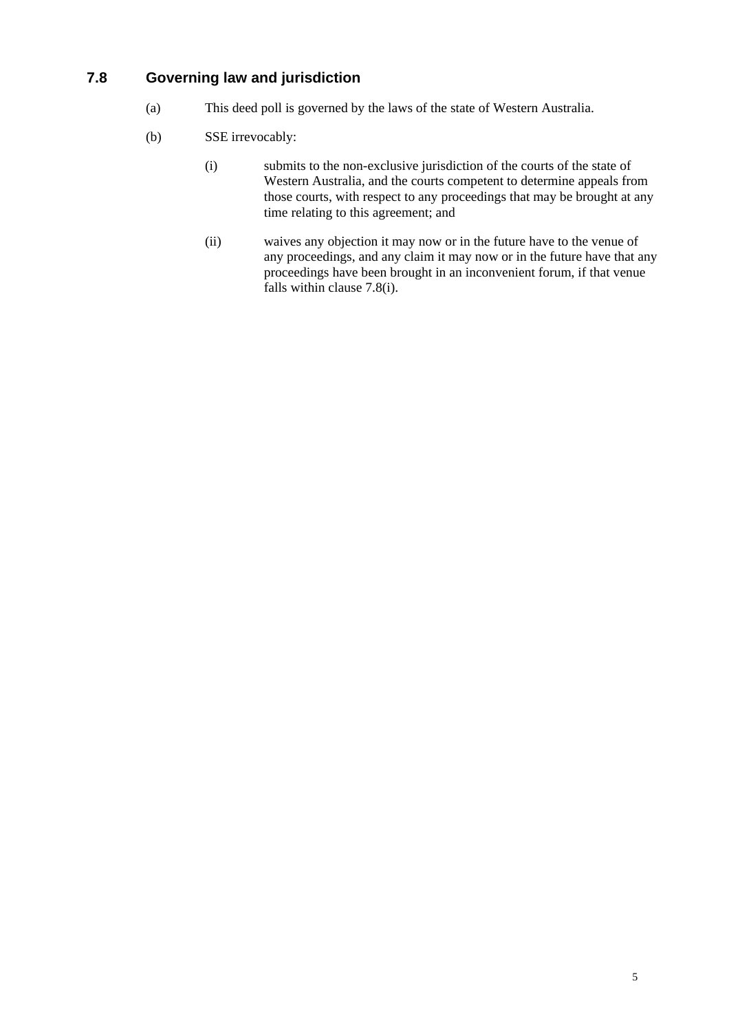## **7.8 Governing law and jurisdiction**

- (a) This deed poll is governed by the laws of the state of Western Australia.
- (b) SSE irrevocably:
	- (i) submits to the non-exclusive jurisdiction of the courts of the state of Western Australia, and the courts competent to determine appeals from those courts, with respect to any proceedings that may be brought at any time relating to this agreement; and
	- (ii) waives any objection it may now or in the future have to the venue of any proceedings, and any claim it may now or in the future have that any proceedings have been brought in an inconvenient forum, if that venue falls within clause 7.8(i).